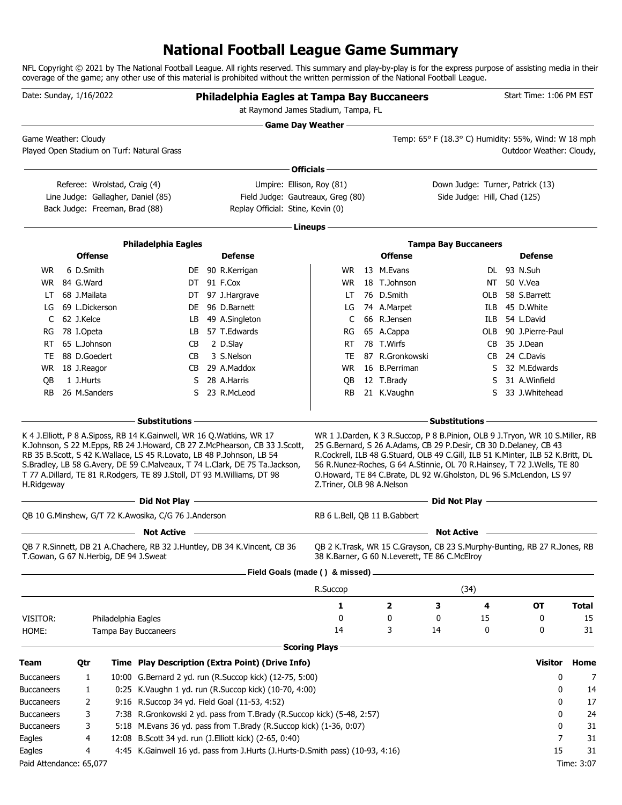# **National Football League Game Summary**

NFL Copyright © 2021 by The National Football League. All rights reserved. This summary and play-by-play is for the express purpose of assisting media in their coverage of the game; any other use of this material is prohibited without the written permission of the National Football League.

| Date: Sunday, 1/16/2022 |              |                                |                                                                                                                                                  | Philadelphia Eagles at Tampa Bay Buccaneers<br>at Raymond James Stadium, Tampa, FL                                                                        |                              |                                                                                                                                                                                                                                                                                                       |                                                                                                                                   |     | Start Time: 1:06 PM EST  |              |
|-------------------------|--------------|--------------------------------|--------------------------------------------------------------------------------------------------------------------------------------------------|-----------------------------------------------------------------------------------------------------------------------------------------------------------|------------------------------|-------------------------------------------------------------------------------------------------------------------------------------------------------------------------------------------------------------------------------------------------------------------------------------------------------|-----------------------------------------------------------------------------------------------------------------------------------|-----|--------------------------|--------------|
| Game Weather: Cloudy    |              |                                |                                                                                                                                                  |                                                                                                                                                           | <b>Game Day Weather —</b>    |                                                                                                                                                                                                                                                                                                       | the control of the control of the control of the control of the control of<br>Temp: 65° F (18.3° C) Humidity: 55%, Wind: W 18 mph |     |                          |              |
|                         |              |                                | Played Open Stadium on Turf: Natural Grass                                                                                                       |                                                                                                                                                           |                              |                                                                                                                                                                                                                                                                                                       |                                                                                                                                   |     | Outdoor Weather: Cloudy, |              |
|                         |              |                                |                                                                                                                                                  |                                                                                                                                                           | Officials-                   |                                                                                                                                                                                                                                                                                                       |                                                                                                                                   |     |                          |              |
|                         |              | Referee: Wrolstad, Craig (4)   |                                                                                                                                                  | Umpire: Ellison, Roy (81)                                                                                                                                 |                              |                                                                                                                                                                                                                                                                                                       | Down Judge: Turner, Patrick (13)                                                                                                  |     |                          |              |
|                         |              |                                | Line Judge: Gallagher, Daniel (85)                                                                                                               | Field Judge: Gautreaux, Greg (80)                                                                                                                         |                              |                                                                                                                                                                                                                                                                                                       | Side Judge: Hill, Chad (125)                                                                                                      |     |                          |              |
|                         |              | Back Judge: Freeman, Brad (88) |                                                                                                                                                  | Replay Official: Stine, Kevin (0)                                                                                                                         |                              |                                                                                                                                                                                                                                                                                                       |                                                                                                                                   |     |                          |              |
|                         |              |                                |                                                                                                                                                  |                                                                                                                                                           | Lineups -                    |                                                                                                                                                                                                                                                                                                       |                                                                                                                                   |     |                          |              |
|                         |              |                                | <b>Philadelphia Eagles</b>                                                                                                                       |                                                                                                                                                           |                              |                                                                                                                                                                                                                                                                                                       | <b>Tampa Bay Buccaneers</b>                                                                                                       |     |                          |              |
|                         |              | <b>Offense</b>                 |                                                                                                                                                  | <b>Defense</b>                                                                                                                                            |                              | <b>Offense</b>                                                                                                                                                                                                                                                                                        |                                                                                                                                   |     | <b>Defense</b>           |              |
| WR.                     | 6 D.Smith    |                                |                                                                                                                                                  | DE 90 R.Kerrigan                                                                                                                                          | WR.                          | 13 M.Evans                                                                                                                                                                                                                                                                                            |                                                                                                                                   |     | DL 93 N.Suh              |              |
| WR                      | 84 G.Ward    |                                |                                                                                                                                                  | DT 91 F.Cox                                                                                                                                               | WR.                          | 18 T.Johnson                                                                                                                                                                                                                                                                                          |                                                                                                                                   | NT  | 50 V.Vea                 |              |
| LT                      | 68 J.Mailata |                                |                                                                                                                                                  | DT 97 J.Hargrave                                                                                                                                          | LT.                          | 76 D.Smith                                                                                                                                                                                                                                                                                            |                                                                                                                                   | OLB | 58 S.Barrett             |              |
| LG                      |              | 69 L.Dickerson                 | DE                                                                                                                                               | 96 D.Barnett                                                                                                                                              | LG                           | 74 A.Marpet                                                                                                                                                                                                                                                                                           |                                                                                                                                   | ILB | 45 D.White               |              |
| C                       | 62 J.Kelce   |                                | LB                                                                                                                                               | 49 A.Singleton                                                                                                                                            | C                            | 66 R.Jensen                                                                                                                                                                                                                                                                                           |                                                                                                                                   | ILB | 54 L.David               |              |
| RG                      | 78 I.Opeta   |                                | LB                                                                                                                                               | 57 T.Edwards                                                                                                                                              | RG                           | 65 A.Cappa                                                                                                                                                                                                                                                                                            |                                                                                                                                   |     | OLB 90 J.Pierre-Paul     |              |
| RT                      | 65 L.Johnson |                                | CВ                                                                                                                                               | 2 D.Slay                                                                                                                                                  | RT                           | 78 T.Wirfs                                                                                                                                                                                                                                                                                            |                                                                                                                                   |     | CB 35 J.Dean             |              |
| TE                      | 88 D.Goedert |                                | CB                                                                                                                                               | 3 S.Nelson                                                                                                                                                | TE                           | 87 R.Gronkowski                                                                                                                                                                                                                                                                                       |                                                                                                                                   |     | CB 24 C.Davis            |              |
| WR                      | 18 J.Reagor  |                                | CВ                                                                                                                                               | 29 A.Maddox                                                                                                                                               | <b>WR</b>                    | 16 B.Perriman                                                                                                                                                                                                                                                                                         |                                                                                                                                   |     | S 32 M.Edwards           |              |
| QB                      | 1 J.Hurts    |                                | S                                                                                                                                                | 28 A.Harris                                                                                                                                               | QB                           | 12 T.Brady                                                                                                                                                                                                                                                                                            |                                                                                                                                   | S   | 31 A.Winfield            |              |
| RB.                     | 26 M.Sanders |                                | S.                                                                                                                                               | 23 R.McLeod                                                                                                                                               | RB.                          | 21 K.Vaughn                                                                                                                                                                                                                                                                                           |                                                                                                                                   | S.  | 33 J.Whitehead           |              |
|                         |              |                                | - Substitutions                                                                                                                                  |                                                                                                                                                           |                              |                                                                                                                                                                                                                                                                                                       | - Substitutions -                                                                                                                 |     |                          |              |
| H.Ridgeway              |              |                                | RB 35 B.Scott, S 42 K.Wallace, LS 45 R.Lovato, LB 48 P.Johnson, LB 54<br>T 77 A.Dillard, TE 81 R.Rodgers, TE 89 J.Stoll, DT 93 M.Williams, DT 98 | K.Johnson, S 22 M.Epps, RB 24 J.Howard, CB 27 Z.McPhearson, CB 33 J.Scott,<br>S.Bradley, LB 58 G.Avery, DE 59 C.Malveaux, T 74 L.Clark, DE 75 Ta.Jackson, | Z.Triner, OLB 98 A.Nelson    | 25 G.Bernard, S 26 A.Adams, CB 29 P.Desir, CB 30 D.Delaney, CB 43<br>R.Cockrell, ILB 48 G.Stuard, OLB 49 C.Gill, ILB 51 K.Minter, ILB 52 K.Britt, DL<br>56 R.Nunez-Roches, G 64 A.Stinnie, OL 70 R.Hainsey, T 72 J.Wells, TE 80<br>O.Howard, TE 84 C.Brate, DL 92 W.Gholston, DL 96 S.McLendon, LS 97 |                                                                                                                                   |     |                          |              |
|                         |              |                                | Did Not Play                                                                                                                                     |                                                                                                                                                           |                              |                                                                                                                                                                                                                                                                                                       | Did Not Play -                                                                                                                    |     |                          |              |
|                         |              |                                | QB 10 G.Minshew, G/T 72 K.Awosika, C/G 76 J.Anderson                                                                                             |                                                                                                                                                           | RB 6 L.Bell, QB 11 B.Gabbert |                                                                                                                                                                                                                                                                                                       |                                                                                                                                   |     |                          |              |
|                         |              |                                | <b>Not Active</b>                                                                                                                                |                                                                                                                                                           |                              |                                                                                                                                                                                                                                                                                                       | <b>Not Active</b>                                                                                                                 |     |                          |              |
|                         |              |                                | T.Gowan, G 67 N.Herbig, DE 94 J.Sweat                                                                                                            | QB 7 R.Sinnett, DB 21 A.Chachere, RB 32 J.Huntley, DB 34 K.Vincent, CB 36                                                                                 |                              | QB 2 K.Trask, WR 15 C.Grayson, CB 23 S.Murphy-Bunting, RB 27 R.Jones, RB<br>38 K.Barner, G 60 N.Leverett, TE 86 C.McElroy                                                                                                                                                                             |                                                                                                                                   |     |                          |              |
|                         |              |                                |                                                                                                                                                  | Field Goals (made () & missed) .                                                                                                                          |                              |                                                                                                                                                                                                                                                                                                       |                                                                                                                                   |     |                          |              |
|                         |              |                                |                                                                                                                                                  |                                                                                                                                                           | R.Succop                     |                                                                                                                                                                                                                                                                                                       | (34)                                                                                                                              |     |                          |              |
|                         |              |                                |                                                                                                                                                  |                                                                                                                                                           | 1                            | 2                                                                                                                                                                                                                                                                                                     | 3                                                                                                                                 | 4   | <b>OT</b>                | <b>Total</b> |
| VISITOR:                |              | Philadelphia Eagles            |                                                                                                                                                  |                                                                                                                                                           | 0                            | 0                                                                                                                                                                                                                                                                                                     | 0                                                                                                                                 | 15  | 0                        | 15           |
| HOME:                   |              |                                | <b>Tampa Bay Buccaneers</b>                                                                                                                      |                                                                                                                                                           | 14                           | 3                                                                                                                                                                                                                                                                                                     | 14                                                                                                                                | 0   | 0                        | 31           |
|                         |              |                                |                                                                                                                                                  |                                                                                                                                                           | <b>Scoring Plays</b>         |                                                                                                                                                                                                                                                                                                       |                                                                                                                                   |     |                          |              |
| Team                    | Qtr          |                                |                                                                                                                                                  | Time Play Description (Extra Point) (Drive Info)                                                                                                          |                              |                                                                                                                                                                                                                                                                                                       |                                                                                                                                   |     | <b>Visitor</b>           | Home         |
| <b>Buccaneers</b>       |              | 1                              |                                                                                                                                                  | 10:00 G.Bernard 2 yd. run (R.Succop kick) (12-75, 5:00)                                                                                                   |                              |                                                                                                                                                                                                                                                                                                       |                                                                                                                                   |     | 0                        | 7            |
| <b>Buccaneers</b>       |              | 1                              |                                                                                                                                                  | 0:25 K.Vaughn 1 yd. run (R.Succop kick) (10-70, 4:00)                                                                                                     |                              |                                                                                                                                                                                                                                                                                                       |                                                                                                                                   |     | 0                        | 14           |
| <b>Buccaneers</b>       |              | 2                              | 9:16 R.Succop 34 yd. Field Goal (11-53, 4:52)                                                                                                    |                                                                                                                                                           |                              |                                                                                                                                                                                                                                                                                                       |                                                                                                                                   |     | 0                        | 17           |
| <b>Buccaneers</b>       |              | 3                              |                                                                                                                                                  | 7:38 R.Gronkowski 2 yd. pass from T.Brady (R.Succop kick) (5-48, 2:57)                                                                                    |                              |                                                                                                                                                                                                                                                                                                       |                                                                                                                                   |     | 0                        | 24           |
| <b>Buccaneers</b>       |              | 3                              |                                                                                                                                                  | 5:18 M. Evans 36 yd. pass from T. Brady (R. Succop kick) (1-36, 0:07)                                                                                     |                              |                                                                                                                                                                                                                                                                                                       |                                                                                                                                   |     | 0                        | 31           |
| Eagles                  |              | 4                              |                                                                                                                                                  | 12:08 B.Scott 34 yd. run (J.Elliott kick) (2-65, 0:40)                                                                                                    |                              |                                                                                                                                                                                                                                                                                                       |                                                                                                                                   |     | 7                        | 31           |
| Eagles                  |              | 4                              |                                                                                                                                                  | 4:45 K.Gainwell 16 yd. pass from J.Hurts (J.Hurts-D.Smith pass) (10-93, 4:16)                                                                             |                              |                                                                                                                                                                                                                                                                                                       |                                                                                                                                   |     | 15                       | 31           |
| Paid Attendance: 65,077 |              |                                |                                                                                                                                                  |                                                                                                                                                           |                              |                                                                                                                                                                                                                                                                                                       |                                                                                                                                   |     |                          | Time: 3:07   |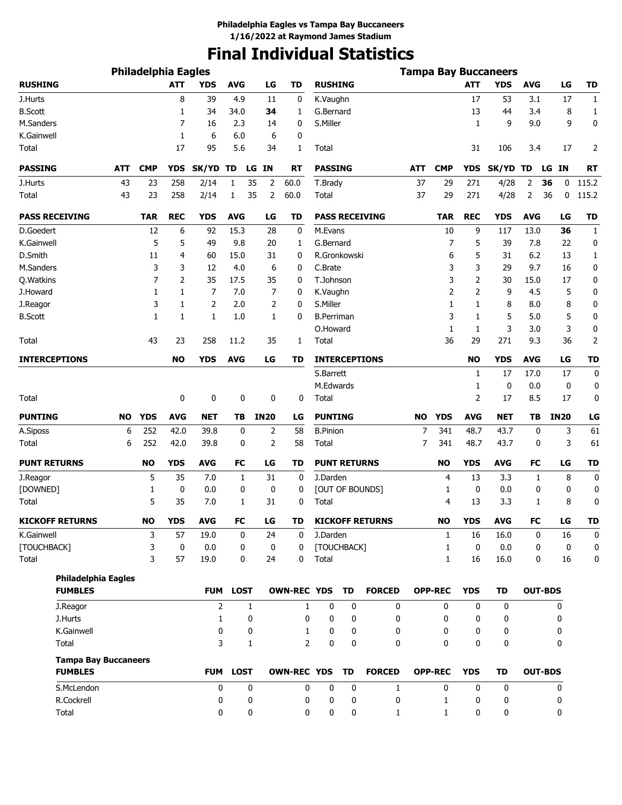# **Final Individual Statistics**

|                                               |           | <b>Philadelphia Eagles</b> |            |                |              |                |                    |                     |    |                        |           |                |              | <b>Tampa Bay Buccaneers</b> |            |                |              |
|-----------------------------------------------|-----------|----------------------------|------------|----------------|--------------|----------------|--------------------|---------------------|----|------------------------|-----------|----------------|--------------|-----------------------------|------------|----------------|--------------|
| <b>RUSHING</b>                                |           |                            | <b>ATT</b> | <b>YDS</b>     | <b>AVG</b>   | LG             | <b>TD</b>          | <b>RUSHING</b>      |    |                        |           |                | <b>ATT</b>   | <b>YDS</b>                  | <b>AVG</b> | LG             | <b>TD</b>    |
| J.Hurts                                       |           |                            | 8          | 39             | 4.9          | 11             | 0                  | K.Vaughn            |    |                        |           |                | 17           | 53                          | 3.1        | 17             | $\mathbf{1}$ |
| <b>B.Scott</b>                                |           |                            | 1          | 34             | 34.0         | 34             | 1                  | G.Bernard           |    |                        |           |                | 13           | 44                          | 3.4        | 8              | 1            |
| M.Sanders                                     |           |                            | 7          | 16             | 2.3          | 14             | 0                  | S.Miller            |    |                        |           |                | 1            | 9                           | 9.0        | 9              | 0            |
| K.Gainwell                                    |           |                            | 1          | 6              | 6.0          | 6              | 0                  |                     |    |                        |           |                |              |                             |            |                |              |
| Total                                         |           |                            | 17         | 95             | 5.6          | 34             | 1                  | Total               |    |                        |           |                | 31           | 106                         | 3.4        | 17             | 2            |
| <b>PASSING</b>                                | ATT       | <b>CMP</b>                 | <b>YDS</b> | SK/YD TD       | LG           | IN             | <b>RT</b>          | <b>PASSING</b>      |    |                        | ATT       | <b>CMP</b>     | <b>YDS</b>   | SK/YD TD                    |            | LG IN          | <b>RT</b>    |
| J.Hurts                                       | 43        | 23                         | 258        | 2/14           | 1<br>35      | 2              | 60.0               | T.Brady             |    |                        | 37        | 29             | 271          | 4/28                        | 2          | 36<br>0        | 115.2        |
| Total                                         | 43        | 23                         | 258        | 2/14           | 35<br>1      | 2              | 60.0               | Total               |    |                        | 37        | 29             | 271          | 4/28                        | 2          | 36<br>0        | 115.2        |
| <b>PASS RECEIVING</b>                         |           | <b>TAR</b>                 | <b>REC</b> | <b>YDS</b>     | <b>AVG</b>   | LG             | TD                 |                     |    | <b>PASS RECEIVING</b>  |           | <b>TAR</b>     | <b>REC</b>   | YDS                         | <b>AVG</b> | LG             | TD           |
| D.Goedert                                     |           | 12                         | 6          | 92             | 15.3         | 28             | 0                  | M.Evans             |    |                        |           | 10             | 9            | 117                         | 13.0       | 36             | $\mathbf{1}$ |
| K.Gainwell                                    |           | 5                          | 5          | 49             | 9.8          | 20             | 1                  | G.Bernard           |    |                        |           | 7              | 5            | 39                          | 7.8        | 22             | 0            |
| D.Smith                                       |           | 11                         | 4          | 60             | 15.0         | 31             | 0                  | R.Gronkowski        |    |                        |           | 6              | 5            | 31                          | 6.2        | 13             | $\mathbf{1}$ |
| M.Sanders                                     |           | 3                          | 3          | 12             | 4.0          | 6              | 0                  | C.Brate             |    |                        |           | 3              | 3            | 29                          | 9.7        | 16             | 0            |
| Q. Watkins                                    |           | $\overline{7}$             | 2          | 35             | 17.5         | 35             | 0                  | T.Johnson           |    |                        |           | 3              | 2            | 30                          | 15.0       | 17             | 0            |
| J.Howard                                      |           | 1                          | 1          | 7              | 7.0          | 7              | 0                  | K.Vaughn            |    |                        |           | 2              | 2            | 9                           | 4.5        | 5              | 0            |
| J.Reagor                                      |           | 3                          | 1          | 2              | 2.0          | 2              | 0                  | S.Miller            |    |                        |           | 1              | 1            | 8                           | 8.0        | 8              | 0            |
| <b>B.Scott</b>                                |           | $\mathbf{1}$               | 1          | $\mathbf{1}$   | 1.0          | 1              | 0                  | <b>B.Perriman</b>   |    |                        |           | 3              | 1            | 5                           | 5.0        | 5              | 0            |
|                                               |           |                            |            |                |              |                |                    | O.Howard            |    |                        |           | 1              | $\mathbf{1}$ | 3                           | 3.0        | 3              | 0            |
| Total                                         |           | 43                         | 23         | 258            | 11.2         | 35             | 1                  | Total               |    |                        |           | 36             | 29           | 271                         | 9.3        | 36             | 2            |
| <b>INTERCEPTIONS</b>                          |           |                            | <b>NO</b>  | <b>YDS</b>     | <b>AVG</b>   | LG             | TD                 |                     |    | <b>INTERCEPTIONS</b>   |           |                | <b>NO</b>    | <b>YDS</b>                  | <b>AVG</b> | LG             | <b>TD</b>    |
|                                               |           |                            |            |                |              |                |                    | S.Barrett           |    |                        |           |                | 1            | 17                          | 17.0       | 17             | 0            |
|                                               |           |                            |            |                |              |                |                    | M.Edwards           |    |                        |           |                | 1            | 0                           | 0.0        | 0              | 0            |
| Total                                         |           |                            | 0          | 0              | 0            | 0              | 0                  | Total               |    |                        |           |                | 2            | 17                          | 8.5        | 17             | 0            |
| <b>PUNTING</b>                                | <b>NO</b> | <b>YDS</b>                 | <b>AVG</b> | <b>NET</b>     | TΒ           | <b>IN20</b>    | LG                 | <b>PUNTING</b>      |    |                        | <b>NO</b> | <b>YDS</b>     | <b>AVG</b>   | <b>NET</b>                  | TB         | <b>IN20</b>    | LG           |
| A.Siposs                                      | 6         | 252                        | 42.0       | 39.8           | 0            | 2              | 58                 | <b>B.Pinion</b>     |    |                        | 7         | 341            | 48.7         | 43.7                        | 0          | 3              | 61           |
| Total                                         | 6         | 252                        | 42.0       | 39.8           | 0            | $\overline{2}$ | 58                 | Total               |    |                        | 7         | 341            | 48.7         | 43.7                        | 0          | 3              | 61           |
| <b>PUNT RETURNS</b>                           |           | <b>NO</b>                  | <b>YDS</b> | <b>AVG</b>     | FC           | LG             | TD                 | <b>PUNT RETURNS</b> |    |                        |           | <b>NO</b>      | <b>YDS</b>   | <b>AVG</b>                  | FC         | LG             | <b>TD</b>    |
| J.Reagor                                      |           | 5                          | 35         | 7.0            | 1            | 31             | $\mathbf 0$        | J.Darden            |    |                        |           | 4              | 13           | 3.3                         | 1          | 8              | 0            |
| [DOWNED]                                      |           | 1                          | 0          | 0.0            | 0            | 0              | 0                  |                     |    | [OUT OF BOUNDS]        |           | 1              | 0            | 0.0                         | 0          | 0              | 0            |
| Total                                         |           | 5                          | 35         | 7.0            | 1            | 31             | 0                  | Total               |    |                        |           | 4              | 13           | 3.3                         | 1          | 8              | 0            |
| <b>KICKOFF RETURNS</b>                        |           | <b>NO</b>                  | <b>YDS</b> | AVG            | <b>FC</b>    | LG             | TD                 |                     |    | <b>KICKOFF RETURNS</b> |           | <b>NO</b>      | <b>YDS</b>   | AVG                         | <b>FC</b>  | LG             | TD           |
| K.Gainwell                                    |           | 3                          | 57         | 19.0           | 0            | 24             | 0                  | J.Darden            |    |                        |           | 1              | 16           | 16.0                        | 0          | 16             | 0            |
| [TOUCHBACK]                                   |           | 3                          | 0          | 0.0            | 0            | 0              | 0                  | [TOUCHBACK]         |    |                        |           | 1              | 0            | 0.0                         | 0          | $\mathbf 0$    | 0            |
| Total                                         |           | 3                          | 57         | 19.0           | 0            | 24             | 0                  | Total               |    |                        |           | 1              | 16           | 16.0                        | 0          | 16             | 0            |
| <b>Philadelphia Eagles</b>                    |           |                            |            |                |              |                |                    |                     |    |                        |           |                |              |                             |            |                |              |
| <b>FUMBLES</b>                                |           |                            |            | <b>FUM</b>     | <b>LOST</b>  |                | <b>OWN-REC YDS</b> |                     | TD | <b>FORCED</b>          |           | <b>OPP-REC</b> | <b>YDS</b>   | <b>TD</b>                   |            | <b>OUT-BDS</b> |              |
| J.Reagor                                      |           |                            |            | $\overline{2}$ | $\mathbf{1}$ |                | 1                  | 0                   | 0  | 0                      |           | 0              | 0            | 0                           |            | 0              |              |
| J.Hurts                                       |           |                            |            | $\mathbf{1}$   | 0            |                | 0                  | 0                   | 0  | 0                      |           | 0              | 0            | 0                           |            | 0              |              |
| K.Gainwell                                    |           |                            |            | 0              | 0            |                | 1                  | 0                   | 0  | 0                      |           | 0              | 0            | 0                           |            | 0              |              |
| Total                                         |           |                            |            | 3              | 1            |                | $\overline{2}$     | 0                   | 0  | 0                      |           | 0              | 0            | 0                           |            | 0              |              |
| <b>Tampa Bay Buccaneers</b><br><b>FUMBLES</b> |           |                            |            | <b>FUM</b>     | <b>LOST</b>  |                | <b>OWN-REC YDS</b> |                     | TD | <b>FORCED</b>          |           | <b>OPP-REC</b> | <b>YDS</b>   | <b>TD</b>                   |            | <b>OUT-BDS</b> |              |
| S.McLendon                                    |           |                            |            | 0              | 0            |                | 0                  | 0                   | 0  | $\mathbf{1}$           |           | 0              | 0            | 0                           |            | 0              |              |
| R.Cockrell                                    |           |                            |            | 0              | 0            |                | 0                  | 0                   | 0  | 0                      |           | 1              | 0            | 0                           |            | 0              |              |
| Total                                         |           |                            |            | 0              | 0            |                | 0                  | 0                   | 0  | $\mathbf{1}$           |           | 1              | 0            | 0                           |            | 0              |              |
|                                               |           |                            |            |                |              |                |                    |                     |    |                        |           |                |              |                             |            |                |              |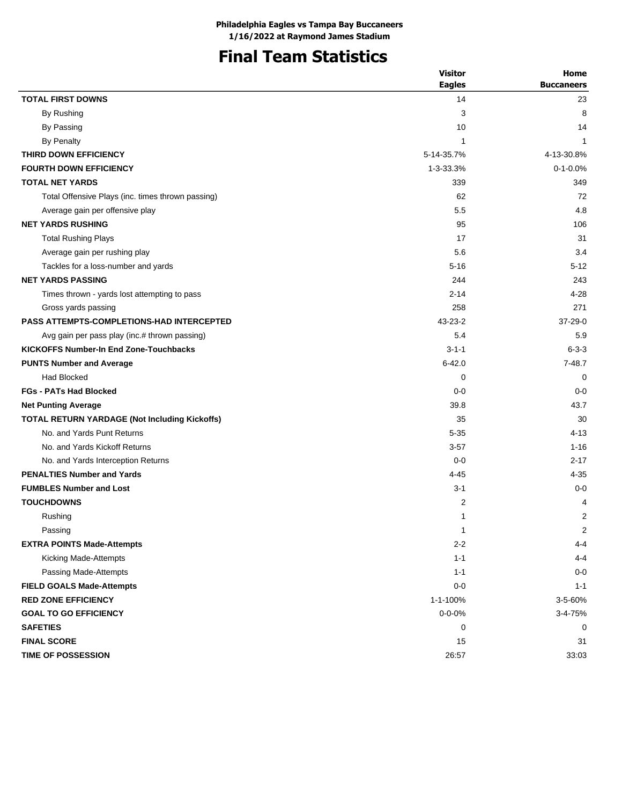# **Final Team Statistics**

|                                                   | <b>Visitor</b> | Home              |
|---------------------------------------------------|----------------|-------------------|
|                                                   | <b>Eagles</b>  | <b>Buccaneers</b> |
| <b>TOTAL FIRST DOWNS</b>                          | 14             | 23                |
| By Rushing                                        | 3              | 8                 |
| By Passing                                        | 10             | 14                |
| By Penalty                                        | 1              | 1                 |
| THIRD DOWN EFFICIENCY                             | 5-14-35.7%     | 4-13-30.8%        |
| <b>FOURTH DOWN EFFICIENCY</b>                     | 1-3-33.3%      | $0 - 1 - 0.0%$    |
| <b>TOTAL NET YARDS</b>                            | 339            | 349               |
| Total Offensive Plays (inc. times thrown passing) | 62             | 72                |
| Average gain per offensive play                   | 5.5            | 4.8               |
| <b>NET YARDS RUSHING</b>                          | 95             | 106               |
| <b>Total Rushing Plays</b>                        | 17             | 31                |
| Average gain per rushing play                     | 5.6            | 3.4               |
| Tackles for a loss-number and yards               | $5 - 16$       | $5 - 12$          |
| <b>NET YARDS PASSING</b>                          | 244            | 243               |
| Times thrown - yards lost attempting to pass      | $2 - 14$       | $4 - 28$          |
| Gross yards passing                               | 258            | 271               |
| <b>PASS ATTEMPTS-COMPLETIONS-HAD INTERCEPTED</b>  | $43 - 23 - 2$  | 37-29-0           |
| Avg gain per pass play (inc.# thrown passing)     | 5.4            | 5.9               |
| <b>KICKOFFS Number-In End Zone-Touchbacks</b>     | $3 - 1 - 1$    | $6 - 3 - 3$       |
| <b>PUNTS Number and Average</b>                   | $6 - 42.0$     | $7 - 48.7$        |
| <b>Had Blocked</b>                                | 0              | 0                 |
| <b>FGs - PATs Had Blocked</b>                     | $0 - 0$        | $0 - 0$           |
| <b>Net Punting Average</b>                        | 39.8           | 43.7              |
| TOTAL RETURN YARDAGE (Not Including Kickoffs)     | 35             | 30                |
| No. and Yards Punt Returns                        | $5 - 35$       | $4 - 13$          |
| No. and Yards Kickoff Returns                     | $3 - 57$       | $1 - 16$          |
| No. and Yards Interception Returns                | $0 - 0$        | $2 - 17$          |
| <b>PENALTIES Number and Yards</b>                 | $4 - 45$       | 4-35              |
| <b>FUMBLES Number and Lost</b>                    | $3 - 1$        | $0 - 0$           |
| <b>TOUCHDOWNS</b>                                 | 2              | 4                 |
| Rushing                                           | 1              | 2                 |
| Passing                                           | 1              | 2                 |
| <b>EXTRA POINTS Made-Attempts</b>                 | $2 - 2$        | $4 - 4$           |
| Kicking Made-Attempts                             | $1 - 1$        | $4 - 4$           |
| Passing Made-Attempts                             | $1 - 1$        | $0-0$             |
| <b>FIELD GOALS Made-Attempts</b>                  | $0 - 0$        | $1 - 1$           |
| <b>RED ZONE EFFICIENCY</b>                        | 1-1-100%       | 3-5-60%           |
| <b>GOAL TO GO EFFICIENCY</b>                      | $0 - 0 - 0%$   | 3-4-75%           |
| <b>SAFETIES</b>                                   | 0              | 0                 |
| <b>FINAL SCORE</b>                                | 15             | 31                |
| TIME OF POSSESSION                                | 26:57          | 33:03             |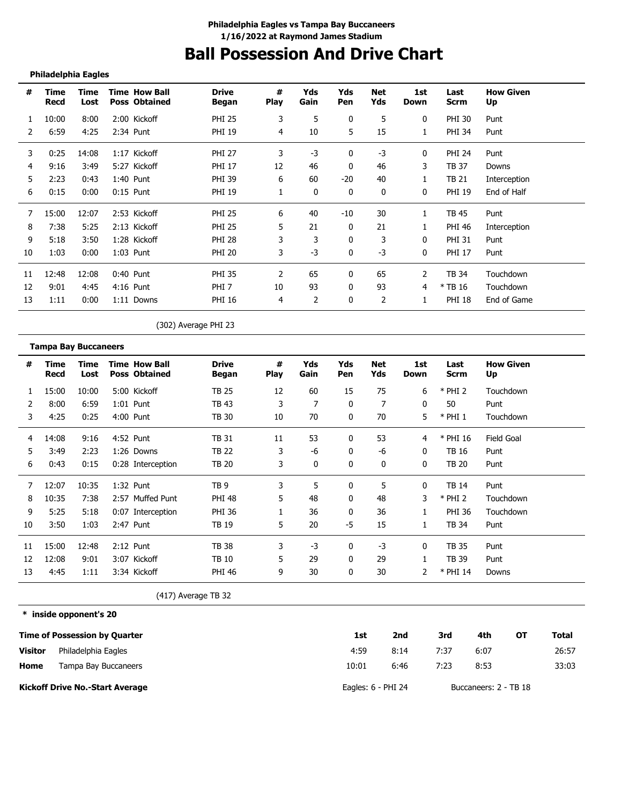# **Ball Possession And Drive Chart**

## **Philadelphia Eagles**

| #  | Time<br>Recd | Time<br>Lost | <b>Time How Ball</b><br><b>Poss Obtained</b> | <b>Drive</b><br><b>Began</b> | #<br><b>Play</b> | Yds<br>Gain | Yds<br>Pen | Net<br>Yds | 1st<br>Down | Last<br>Scrm  | <b>How Given</b><br>Up |
|----|--------------|--------------|----------------------------------------------|------------------------------|------------------|-------------|------------|------------|-------------|---------------|------------------------|
| 1  | 10:00        | 8:00         | 2:00 Kickoff                                 | <b>PHI 25</b>                | 3                | 5           | 0          | 5          | 0           | <b>PHI 30</b> | Punt                   |
|    | 6:59         | 4:25         | 2:34 Punt                                    | <b>PHI 19</b>                | 4                | 10          | 5          | 15         | 1           | PHI 34        | Punt                   |
| 3  | 0:25         | 14:08        | 1:17 Kickoff                                 | <b>PHI 27</b>                | 3                | $-3$        | 0          | $-3$       | 0           | <b>PHI 24</b> | Punt                   |
| 4  | 9:16         | 3:49         | 5:27 Kickoff                                 | <b>PHI 17</b>                | 12               | 46          | 0          | 46         | 3           | TB 37         | Downs                  |
| 5  | 2:23         | 0:43         | 1:40 Punt                                    | PHI 39                       | 6                | 60          | $-20$      | 40         |             | TB 21         | Interception           |
| 6  | 0:15         | 0:00         | $0:15$ Punt                                  | <b>PHI 19</b>                |                  | 0           | 0          | 0          | 0           | <b>PHI 19</b> | End of Half            |
|    | 15:00        | 12:07        | 2:53 Kickoff                                 | <b>PHI 25</b>                | 6                | 40          | $-10$      | 30         | 1           | TB 45         | Punt                   |
| 8  | 7:38         | 5:25         | 2:13 Kickoff                                 | <b>PHI 25</b>                | 5                | 21          | $\Omega$   | 21         |             | <b>PHI 46</b> | Interception           |
| 9  | 5:18         | 3:50         | 1:28 Kickoff                                 | <b>PHI 28</b>                | 3                | 3           | 0          | 3          | $\Omega$    | <b>PHI 31</b> | Punt                   |
| 10 | 1:03         | 0:00         | 1:03 Punt                                    | <b>PHI 20</b>                | 3                | $-3$        | $\Omega$   | -3         | 0           | <b>PHI 17</b> | Punt                   |
| 11 | 12:48        | 12:08        | $0:40$ Punt                                  | <b>PHI 35</b>                | 2                | 65          | 0          | 65         | 2           | TB 34         | Touchdown              |
| 12 | 9:01         | 4:45         | 4:16 Punt                                    | PHI <sub>7</sub>             | 10               | 93          | $\Omega$   | 93         | 4           | $*$ TB 16     | Touchdown              |
| 13 | 1:11         | 0:00         | 1:11 Downs                                   | <b>PHI 16</b>                | 4                | 2           | 0          | 2          |             | <b>PHI 18</b> | End of Game            |

(302) Average PHI 23

|    | <b>Tampa Bay Buccaneers</b> |              |                                              |                       |                  |             |            |                   |              |                     |                        |
|----|-----------------------------|--------------|----------------------------------------------|-----------------------|------------------|-------------|------------|-------------------|--------------|---------------------|------------------------|
| #  | Time<br>Recd                | Time<br>Lost | <b>Time How Ball</b><br><b>Poss Obtained</b> | <b>Drive</b><br>Began | #<br><b>Play</b> | Yds<br>Gain | Yds<br>Pen | <b>Net</b><br>Yds | 1st<br>Down  | Last<br><b>Scrm</b> | <b>How Given</b><br>Up |
|    | 15:00                       | 10:00        | 5:00 Kickoff                                 | <b>TB 25</b>          | 12               | 60          | 15         | 75                | 6            | $*$ PHI 2           | Touchdown              |
|    | 8:00                        | 6:59         | $1:01$ Punt                                  | TB 43                 | 3                | 7           | 0          | 7                 | 0            | 50                  | Punt                   |
| 3  | 4:25                        | 0:25         | 4:00 Punt                                    | <b>TB 30</b>          | 10               | 70          | 0          | 70                | 5            | $*$ PHI 1           | Touchdown              |
| 4  | 14:08                       | 9:16         | 4:52 Punt                                    | <b>TB 31</b>          | 11               | 53          | 0          | 53                | 4            | * PHI 16            | Field Goal             |
| 5  | 3:49                        | 2:23         | 1:26 Downs                                   | TB 22                 | 3                | -6          | 0          | -6                | 0            | TB 16               | Punt                   |
| 6  | 0:43                        | 0:15         | 0:28 Interception                            | <b>TB 20</b>          | 3                | 0           | 0          | 0                 | $\mathbf{0}$ | <b>TB 20</b>        | Punt                   |
|    | 12:07                       | 10:35        | 1:32 Punt                                    | TB <sub>9</sub>       | 3                | 5           | 0          | 5                 | 0            | TB 14               | Punt                   |
| 8  | 10:35                       | 7:38         | 2:57 Muffed Punt                             | <b>PHI 48</b>         | 5                | 48          | $\Omega$   | 48                | 3            | $*$ PHI 2           | Touchdown              |
| 9  | 5:25                        | 5:18         | 0:07 Interception                            | <b>PHI 36</b>         |                  | 36          | $\Omega$   | 36                |              | <b>PHI 36</b>       | Touchdown              |
| 10 | 3:50                        | 1:03         | 2:47 Punt                                    | TB 19                 | 5                | 20          | -5         | 15                |              | TB 34               | Punt                   |
| 11 | 15:00                       | 12:48        | $2:12$ Punt                                  | <b>TB 38</b>          | 3                | $-3$        | 0          | -3                | 0            | <b>TB 35</b>        | Punt                   |
| 12 | 12:08                       | 9:01         | 3:07 Kickoff                                 | TB 10                 | 5                | 29          | 0          | 29                |              | <b>TB 39</b>        | Punt                   |
| 13 | 4:45                        | 1:11         | 3:34 Kickoff                                 | <b>PHI 46</b>         | 9                | 30          | 0          | 30                | 2            | $*$ PHI 14          | Downs                  |

(417) Average TB 32

**\* inside opponent's 20**

|                | <b>Time of Possession by Quarter</b>   | 1st                  | 2nd  | 3rd  | 4th                   | OT | Total |
|----------------|----------------------------------------|----------------------|------|------|-----------------------|----|-------|
| <b>Visitor</b> | Philadelphia Eagles                    | 4:59                 | 8:14 | 7:37 | 6:07                  |    | 26:57 |
| Home           | Tampa Bay Buccaneers                   | 10:01                | 6:46 | 7:23 | 8:53                  |    | 33:03 |
|                | <b>Kickoff Drive No.-Start Average</b> | Eagles: $6$ - PHI 24 |      |      | Buccaneers: 2 - TB 18 |    |       |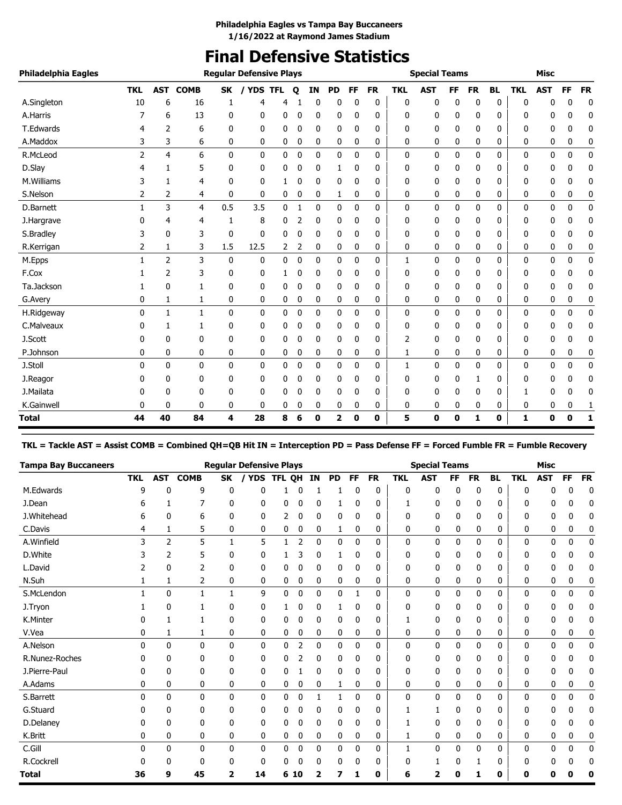# **Final Defensive Statistics**

| Philadelphia Eagles |            |                |             |              | <b>Reqular Defensive Plays</b> |   |   |    |                         |              |           |            | <b>Special Teams</b> |           |              |           |            | <b>Misc</b> |             |           |
|---------------------|------------|----------------|-------------|--------------|--------------------------------|---|---|----|-------------------------|--------------|-----------|------------|----------------------|-----------|--------------|-----------|------------|-------------|-------------|-----------|
|                     | <b>TKL</b> | <b>AST</b>     | <b>COMB</b> | <b>SK</b>    | / YDS TFL                      |   | Q | IN | <b>PD</b>               | <b>FF</b>    | <b>FR</b> | <b>TKL</b> | <b>AST</b>           | <b>FF</b> | <b>FR</b>    | <b>BL</b> | <b>TKL</b> | <b>AST</b>  | FF          | <b>FR</b> |
| A.Singleton         | 10         | 6              | 16          | 1            | 4                              | 4 |   | 0  | 0                       | 0            | 0         | 0          | 0                    | 0         | 0            | 0         | $\Omega$   | 0           | 0           | 0         |
| A.Harris            |            | 6              | 13          | 0            | 0                              | 0 | 0 | 0  | 0                       | 0            | 0         | 0          | 0                    | 0         | 0            | 0         | 0          | 0           | 0           | 0         |
| T.Edwards           | 4          | 2              | 6           | 0            | $\mathbf{0}$                   | 0 | 0 | 0  | 0                       | 0            | 0         | 0          | 0                    | 0         | 0            | 0         | 0          | 0           | 0           | 0         |
| A.Maddox            | 3          | 3              | 6           | 0            | 0                              | 0 | 0 | 0  | 0                       | 0            | 0         | 0          | 0                    | 0         | 0            | 0         | 0          | 0           | 0           | 0         |
| R.McLeod            | 2          | 4              | 6           | $\mathbf{0}$ | $\mathbf{0}$                   | 0 | 0 | 0  | $\mathbf 0$             | $\mathbf{0}$ | 0         | 0          | 0                    | 0         | 0            | 0         | 0          | 0           | $\mathbf 0$ | 0         |
| D.Slay              |            |                | 5           | 0            | 0                              | 0 | 0 | 0  | 1                       | 0            | 0         | 0          | 0                    | 0         | 0            | 0         | 0          | 0           | 0           | 0         |
| M.Williams          | 3          | 1              | 4           | 0            | 0                              |   | 0 | 0  | 0                       | 0            | 0         | 0          | 0                    | 0         | 0            | 0         | 0          | 0           | 0           | 0         |
| S.Nelson            | 2          | 2              | 4           | 0            | 0                              | 0 | 0 | 0  | 1                       | 0            | 0         | 0          | 0                    | 0         | 0            | 0         | 0          | 0           | 0           | 0         |
| D.Barnett           | 1          | 3              | 4           | 0.5          | 3.5                            | 0 | 1 | 0  | 0                       | 0            | 0         | 0          | 0                    | 0         | 0            | 0         | 0          | 0           | 0           | 0         |
| J.Hargrave          | 0          | 4              | 4           | 1            | 8                              | 0 |   | 0  | 0                       | 0            | 0         | 0          | 0                    | 0         | 0            | 0         | 0          | 0           | 0           | 0         |
| S.Bradley           | 3          | 0              | 3           | 0            | $\mathbf 0$                    | 0 | 0 | 0  | 0                       | 0            | 0         | 0          | 0                    | 0         | 0            | 0         | 0          | 0           | 0           | 0         |
| R.Kerrigan          | 2          | $\mathbf{1}$   | 3           | 1.5          | 12.5                           | 2 | 2 | 0  | 0                       | 0            | 0         | 0          | 0                    | 0         | $\mathbf{0}$ | 0         | 0          | 0           | 0           | 0         |
| M.Epps              |            | $\overline{2}$ | 3           | 0            | 0                              | 0 | 0 | 0  | 0                       | 0            | 0         | 1          | 0                    | 0         | 0            | 0         | 0          | 0           | 0           | 0         |
| F.Cox               |            | 2              | 3           | 0            | 0                              | 1 | 0 | 0  | 0                       | 0            | 0         | 0          | 0                    | 0         | 0            | 0         | 0          | 0           | 0           | 0         |
| Ta.Jackson          |            | $\mathbf{0}$   | 1           | 0            | 0                              | 0 | 0 | 0  | 0                       | 0            | 0         | 0          | 0                    | 0         | 0            | 0         | 0          | 0           | 0           | 0         |
| G.Avery             | 0          | 1              | 1           | 0            | 0                              | 0 | 0 | 0  | 0                       | 0            | 0         | 0          | 0                    | 0         | 0            | 0         | 0          | 0           | 0           | 0         |
| H.Ridgeway          | $\Omega$   | 1              | 1           | 0            | $\mathbf{0}$                   | 0 | 0 | 0  | 0                       | 0            | 0         | 0          | 0                    | 0         | 0            | 0         | 0          | 0           | 0           | 0         |
| C.Malveaux          | 0          | 1              | 1           | 0            | 0                              | 0 | 0 | 0  | 0                       | 0            | 0         | 0          | 0                    | 0         | 0            | 0         | 0          | 0           | 0           | 0         |
| J.Scott             | 0          | $\mathbf{0}$   | 0           | 0            | 0                              | 0 | 0 | 0  | 0                       | 0            | 0         | 2          | 0                    | 0         | 0            | 0         | 0          | 0           | 0           | 0         |
| P.Johnson           | 0          | $\mathbf{0}$   | 0           | 0            | 0                              | 0 | 0 | 0  | 0                       | 0            | 0         | 1          | 0                    | 0         | 0            | 0         | 0          | 0           | 0           | 0         |
| J.Stoll             | 0          | $\mathbf{0}$   | $\mathbf 0$ | 0            | 0                              | 0 | 0 | 0  | 0                       | 0            | 0         | 1          | 0                    | 0         | 0            | 0         | 0          | 0           | $\mathbf 0$ | 0         |
| J.Reagor            |            | 0              | 0           | 0            | 0                              | 0 | 0 | 0  | 0                       | 0            | 0         | 0          | 0                    | 0         | 1            | 0         | 0          | 0           | 0           | 0         |
| J.Mailata           |            | $\Omega$       | 0           | 0            | 0                              | 0 | 0 | 0  | 0                       | 0            | 0         | 0          | 0                    | 0         | 0            | 0         | 1          | 0           | 0           | 0         |
| K.Gainwell          | 0          | 0              | 0           | 0            | 0                              | 0 | 0 | 0  | 0                       | 0            | 0         | 0          | 0                    | 0         | 0            | 0         | 0          | 0           | 0           | 1         |
| Total               | 44         | 40             | 84          | 4            | 28                             | 8 | 6 | 0  | $\overline{\mathbf{2}}$ | 0            | 0         | 5          | 0                    | 0         | 1            | 0         | 1          | 0           | $\bf{0}$    | 1         |

**TKL = Tackle AST = Assist COMB = Combined QH=QB Hit IN = Interception PD = Pass Defense FF = Forced Fumble FR = Fumble Recovery**

| <b>Tampa Bay Buccaneers</b> |              |                |              |              | <b>Regular Defensive Plays</b> |        |    |              |           |    |           |              | <b>Special Teams</b> |    |           |           |              | <b>Misc</b> |    |           |
|-----------------------------|--------------|----------------|--------------|--------------|--------------------------------|--------|----|--------------|-----------|----|-----------|--------------|----------------------|----|-----------|-----------|--------------|-------------|----|-----------|
|                             | <b>TKL</b>   | AST            | <b>COMB</b>  | <b>SK</b>    | <b>YDS</b>                     | TFL OH |    | <b>IN</b>    | <b>PD</b> | FF | <b>FR</b> | <b>TKL</b>   | <b>AST</b>           | FF | <b>FR</b> | <b>BL</b> | <b>TKL</b>   | <b>AST</b>  | FF | <b>FR</b> |
| M.Edwards                   | q            | 0              | 9            | 0            | 0                              |        |    |              |           | 0  | 0         | 0            | 0                    | 0  | 0         | 0         | $\mathbf{0}$ | 0           | 0  | 0         |
| J.Dean                      | 6            |                | 7            | 0            | 0                              | 0      | C  | 0            |           | 0  | 0         |              | 0                    | 0  | 0         | 0         | 0            | 0           | 0  | 0         |
| J.Whitehead                 | h            | ŋ              | 6            | 0            | 0                              | 2      | 0  | 0            | 0         | 0  | 0         | 0            | 0                    | 0  | 0         | 0         | 0            | 0           | 0  | 0         |
| C.Davis                     | 4            | 1              | 5            | 0            | 0                              | 0      | 0  | 0            | 1         | 0  | 0         | 0            | 0                    | 0  | 0         | 0         | 0            | 0           | 0  | 0         |
| A.Winfield                  | 3            | $\overline{2}$ | 5            | 1            | 5                              | 1      | 2  | 0            | 0         | 0  | 0         | 0            | 0                    | 0  | 0         | 0         | 0            | 0           | 0  | 0         |
| D.White                     |              | 2              | 5            | 0            | 0                              |        |    | 0            | 1         | 0  | 0         | 0            | 0                    | 0  | 0         | 0         | 0            | 0           | 0  | 0         |
| L.David                     |              | 0              |              | 0            | 0                              | 0      | C  | 0            | 0         | 0  | 0         | 0            | 0                    | 0  | 0         | 0         | 0            | 0           | 0  | 0         |
| N.Suh                       |              | 1              | 2            | 0            | 0                              | 0      | 0  | 0            | 0         | 0  | 0         | 0            | 0                    | 0  | 0         | 0         | 0            | 0           | 0  | 0         |
| S.McLendon                  |              | $\mathbf{0}$   | 1            | $\mathbf{1}$ | 9                              | 0      | 0  | 0            | 0         | 1  | 0         | 0            | 0                    | 0  | 0         | 0         | $\mathbf{0}$ | 0           | 0  | 0         |
| J.Tryon                     |              | 0              |              | 0            | 0                              |        | C  | 0            | 1         | 0  | 0         | 0            | 0                    | 0  | 0         | 0         | 0            | 0           | Ω  | 0         |
| K.Minter                    |              |                |              | 0            | 0                              | 0      | 0  | 0            | 0         | 0  | 0         |              | 0                    | 0  | 0         | 0         | 0            | 0           | 0  | 0         |
| V.Vea                       | 0            | 1              | 1            | 0            | 0                              | 0      | 0  | 0            | 0         | 0  | 0         | 0            | 0                    | 0  | 0         | 0         | 0            | 0           | 0  | 0         |
| A.Nelson                    | <sup>0</sup> | $\mathbf{0}$   | 0            | 0            | 0                              | 0      | 2  | 0            | 0         | 0  | 0         | $\mathbf{0}$ | 0                    | 0  | 0         | 0         | 0            | 0           | 0  | 0         |
| R.Nunez-Roches              |              | 0              | 0            | 0            | 0                              | 0      |    | 0            | 0         | 0  | 0         | 0            | 0                    | 0  | 0         | 0         | 0            | 0           | 0  | 0         |
| J.Pierre-Paul               |              | 0              | 0            | 0            | 0                              | 0      |    | 0            | 0         | 0  | 0         | 0            | 0                    | 0  | 0         | 0         | 0            | 0           | 0  | 0         |
| A.Adams                     | 0            | 0              | 0            | 0            | 0                              | 0      | 0  | 0            | 1         | 0  | 0         | 0            | 0                    | 0  | 0         | 0         | 0            | 0           | 0  | 0         |
| S.Barrett                   | <sup>0</sup> | $\mathbf{0}$   | $\mathbf{0}$ | 0            | $\mathbf{0}$                   | 0      | 0  |              | 1         | 0  | 0         | 0            | 0                    | 0  | 0         | 0         | 0            | 0           | 0  | 0         |
| G.Stuard                    |              | 0              | 0            | 0            | 0                              | 0      | 0  | 0            | 0         | 0  | 0         |              | 1                    | 0  | 0         | 0         | 0            | 0           | 0  | 0         |
| D.Delaney                   |              | 0              | 0            | 0            | 0                              | 0      | 0  | 0            | 0         | 0  | 0         |              | 0                    | 0  | 0         | 0         | 0            | 0           | 0  | 0         |
| K.Britt                     | 0            | 0              | 0            | 0            | 0                              | 0      | 0  | 0            | 0         | 0  | 0         | 1            | 0                    | 0  | 0         | 0         | 0            | 0           | 0  | 0         |
| C.Gill                      | <sup>0</sup> | $\mathbf{0}$   | 0            | 0            | 0                              | 0      | 0  | 0            | 0         | 0  | 0         | 1            | 0                    | 0  | 0         | 0         | 0            | 0           | 0  | 0         |
| R.Cockrell                  |              | 0              | 0            | 0            | 0                              | 0      | 0  | 0            | 0         | 0  | 0         | 0            |                      | 0  |           | 0         | 0            | 0           | 0  | 0         |
| Total                       | 36           | 9              | 45           | 2            | 14                             | 6      | 10 | $\mathbf{2}$ | 7         | 1  | 0         | 6            | 2                    | ŋ  |           | 0         | 0            | Ω           |    | 0         |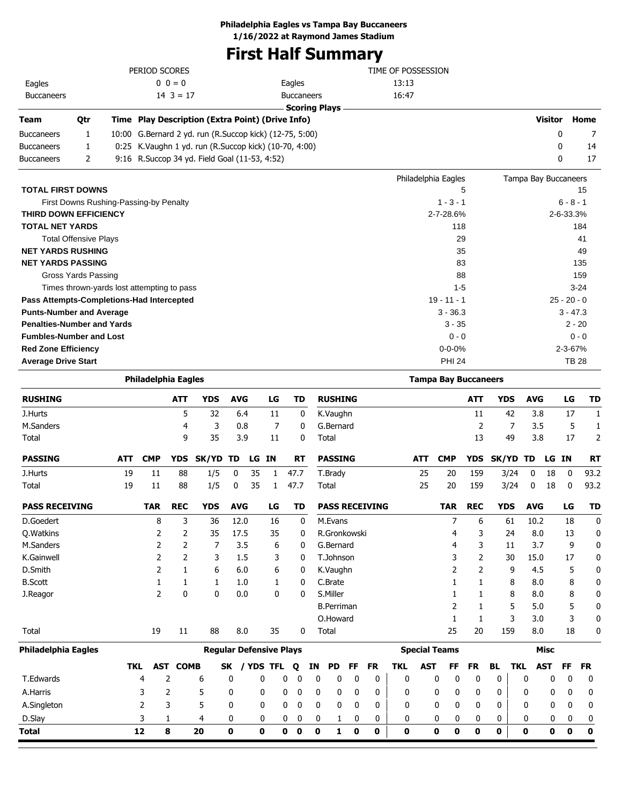**Philadelphia Eagles vs Tampa Bay Buccaneers**

**1/16/2022 at Raymond James Stadium**

# **First Half Summary**

|                   |     | PERIOD SCORES                                           |                      | TIME OF POSSESSION |                |      |
|-------------------|-----|---------------------------------------------------------|----------------------|--------------------|----------------|------|
| Eagles            |     | $0 \t 0 = 0$                                            | Eagles               | 13:13              |                |      |
| <b>Buccaneers</b> |     | $14 \cdot 3 = 17$                                       | <b>Buccaneers</b>    | 16:47              |                |      |
|                   |     |                                                         | <b>Scoring Plays</b> |                    |                |      |
| <b>Team</b>       | Otr | Time Play Description (Extra Point) (Drive Info)        |                      |                    | <b>Visitor</b> | Home |
| <b>Buccaneers</b> |     | 10:00 G.Bernard 2 yd. run (R.Succop kick) (12-75, 5:00) |                      |                    | 0              |      |
| <b>Buccaneers</b> |     | 0:25 K. Vaughn 1 yd. run (R. Succop kick) (10-70, 4:00) |                      |                    | 0              | 14   |
| <b>Buccaneers</b> |     | 9:16 R. Succop 34 yd. Field Goal (11-53, 4:52)          |                      |                    |                | 17   |

|                                            | Philadelphia Eagles | Tampa Bay Buccaneers |
|--------------------------------------------|---------------------|----------------------|
| <b>TOTAL FIRST DOWNS</b>                   | 5                   | 15                   |
| First Downs Rushing-Passing-by Penalty     | $1 - 3 - 1$         | $6 - 8 - 1$          |
| <b>THIRD DOWN EFFICIENCY</b>               | 2-7-28.6%           | 2-6-33.3%            |
| <b>TOTAL NET YARDS</b>                     | 118                 | 184                  |
| <b>Total Offensive Plays</b>               | 29                  | 41                   |
| <b>NET YARDS RUSHING</b>                   | 35                  | 49                   |
| <b>NET YARDS PASSING</b>                   | 83                  | 135                  |
| Gross Yards Passing                        | 88                  | 159                  |
| Times thrown-yards lost attempting to pass | $1 - 5$             | $3 - 24$             |
| Pass Attempts-Completions-Had Intercepted  | $19 - 11 - 1$       | $25 - 20 - 0$        |
| <b>Punts-Number and Average</b>            | $3 - 36.3$          | $3 - 47.3$           |
| <b>Penalties-Number and Yards</b>          | $3 - 35$            | $2 - 20$             |
| <b>Fumbles-Number and Lost</b>             | $0 - 0$             | $0 - 0$              |
| <b>Red Zone Efficiency</b>                 | $0 - 0 - 0%$        | $2 - 3 - 67%$        |
| <b>Average Drive Start</b>                 | <b>PHI 24</b>       | TB 28                |

|                       |            | <b>Philadelphia Eagles</b> |                |                                |            |    |                |      |              |    |                   |    |                       |                      |            |            | <b>Tampa Bay Buccaneers</b> |            |            |            |             |              |              |
|-----------------------|------------|----------------------------|----------------|--------------------------------|------------|----|----------------|------|--------------|----|-------------------|----|-----------------------|----------------------|------------|------------|-----------------------------|------------|------------|------------|-------------|--------------|--------------|
| <b>RUSHING</b>        |            |                            | <b>ATT</b>     | <b>YDS</b>                     | <b>AVG</b> |    | LG             |      | <b>TD</b>    |    | <b>RUSHING</b>    |    |                       |                      |            |            | <b>ATT</b>                  | <b>YDS</b> |            | <b>AVG</b> |             | LG           | <b>TD</b>    |
| J.Hurts               |            |                            | 5              | 32                             | 6.4        |    | 11             |      | $\mathbf{0}$ |    | K.Vaughn          |    |                       |                      |            |            | 11                          |            | 42         | 3.8        |             | 17           | $\mathbf{1}$ |
| M.Sanders             |            |                            | 4              | 3                              | 0.8        |    | 7              |      | $\mathbf{0}$ |    | G.Bernard         |    |                       |                      |            |            | 2                           |            | 7          | 3.5        |             | 5            | 1            |
| Total                 |            |                            | 9              | 35                             | 3.9        |    | 11             |      | 0            |    | Total             |    |                       |                      |            |            | 13                          | 49         |            | 3.8        |             | 17           | 2            |
| <b>PASSING</b>        | <b>ATT</b> | <b>CMP</b>                 | <b>YDS</b>     | SK/YD                          | <b>TD</b>  | LG | <b>IN</b>      |      | <b>RT</b>    |    | <b>PASSING</b>    |    |                       | <b>ATT</b>           |            | <b>CMP</b> | <b>YDS</b>                  | SK/YD      |            | TD         | LG .        | <b>IN</b>    | <b>RT</b>    |
| J.Hurts               | 19         | 11                         | 88             | 1/5                            | 0          | 35 | 1              | 47.7 |              |    | T.Brady           |    |                       | 25                   |            | 20         | 159                         | 3/24       |            | 0          | 18          | 0            | 93.2         |
| Total                 | 19         | 11                         | 88             | 1/5                            | 0          | 35 | 1              | 47.7 |              |    | Total             |    |                       | 25                   |            | 20         | 159                         | 3/24       |            | 0          | 18          | 0            | 93.2         |
| <b>PASS RECEIVING</b> |            | <b>TAR</b>                 | <b>REC</b>     | <b>YDS</b>                     | <b>AVG</b> |    | LG             |      | <b>TD</b>    |    |                   |    | <b>PASS RECEIVING</b> |                      |            | <b>TAR</b> | <b>REC</b>                  | <b>YDS</b> |            | <b>AVG</b> |             | LG           | <b>TD</b>    |
| D.Goedert             |            | 8                          | 3              | 36                             | 12.0       |    | 16             |      | 0            |    | M.Evans           |    |                       |                      |            | 7          | 6                           | 61         |            | 10.2       |             | 18           | $\mathbf{0}$ |
| <b>Q.Watkins</b>      |            | 2                          | $\overline{2}$ | 35                             | 17.5       |    | 35             |      | 0            |    | R.Gronkowski      |    |                       |                      |            | 4          | 3                           | 24         |            | 8.0        |             | 13           | 0            |
| M.Sanders             |            | 2                          | $\overline{2}$ | 7                              | 3.5        |    | 6              |      | 0            |    | G.Bernard         |    |                       |                      |            | 4          | 3                           | 11         |            | 3.7        |             | 9            | 0            |
| K.Gainwell            |            | 2                          | 2              | 3                              | 1.5        |    | 3              |      | 0            |    | T.Johnson         |    |                       |                      |            | 3          | $\overline{2}$              |            | 30         | 15.0       |             | 17           | 0            |
| D.Smith               |            | 2                          | $\mathbf{1}$   | 6                              | 6.0        |    | 6              |      | 0            |    | K.Vaughn          |    |                       |                      |            | 2          | $\overline{2}$              |            | 9          | 4.5        |             | 5            | 0            |
| <b>B.Scott</b>        |            | 1                          | $\mathbf{1}$   | 1                              | 1.0        |    | 1              |      | 0            |    | C.Brate           |    |                       |                      |            | 1          | 1                           |            | 8          | 8.0        |             | 8            | 0            |
| J.Reagor              |            | 2                          | 0              | $\mathbf{0}$                   | 0.0        |    | 0              |      | 0            |    | S.Miller          |    |                       |                      |            |            | 1                           |            | 8          | 8.0        |             | 8            | 0            |
|                       |            |                            |                |                                |            |    |                |      |              |    | <b>B.Perriman</b> |    |                       |                      |            | 2          | 1                           |            | 5          | 5.0        |             | 5            | 0            |
|                       |            |                            |                |                                |            |    |                |      |              |    | O.Howard          |    |                       |                      |            | 1          | $\mathbf{1}$                |            | 3          | 3.0        |             | 3            | 0            |
| Total                 |            | 19                         | 11             | 88                             | 8.0        |    | 35             |      | 0            |    | Total             |    |                       |                      |            | 25         | 20                          | 159        |            | 8.0        |             | 18           | 0            |
| Philadelphia Eagles   |            |                            |                | <b>Regular Defensive Plays</b> |            |    |                |      |              |    |                   |    |                       | <b>Special Teams</b> |            |            |                             |            |            |            | <b>Misc</b> |              |              |
|                       | <b>TKL</b> | <b>AST</b>                 | <b>COMB</b>    |                                | <b>SK</b>  |    | <b>YDS TFL</b> | Q    |              | ΙN | <b>PD</b>         | FF | <b>FR</b>             | <b>TKL</b>           | <b>AST</b> | FF         | <b>FR</b>                   | <b>BL</b>  | <b>TKL</b> |            | <b>AST</b>  | FF           | <b>FR</b>    |
| T.Edwards             |            | 4                          | 2              | 6                              | 0          |    | 0              | 0    | 0            | 0  | 0                 | 0  | $\mathbf{0}$          | $\mathbf{0}$         | 0          | 0          | 0                           | 0          |            | 0          | 0           | $\mathbf{0}$ | 0            |
| A.Harris              |            | 3                          | 2              | 5                              | 0          |    | 0              | 0    | 0            | 0  | 0                 | 0  | 0                     | 0                    | 0          | 0          | 0                           | 0          |            | 0          | 0           | 0            | 0            |
| A.Singleton           |            | 2                          | 3              | 5                              | 0          |    | 0              | 0    | 0            | 0  | 0                 | 0  | 0                     | 0                    | 0          | 0          | 0                           | 0          |            | 0          | 0           | 0            | 0            |
| D.Slay                |            | 3                          | 1              | 4                              | 0          |    | 0              | 0    | 0            | 0  | 1                 | 0  | 0                     | 0                    | 0          | 0          | 0                           | 0          |            | 0          | 0           | 0            | 0            |
| Total                 |            | 12                         | 8              | 20                             | $\bf{0}$   |    | 0              | 0    | 0            | 0  | 1                 | 0  | 0                     | 0                    | $\bf{0}$   | 0          | 0                           | 0          |            | 0          | 0           | 0            | $\mathbf 0$  |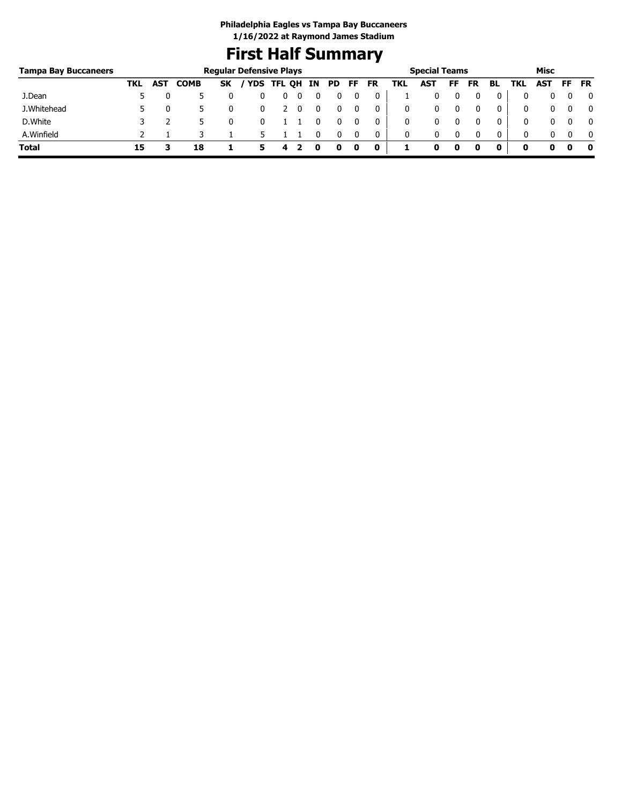# **First Half Summary**

| <b>Tampa Bay Buccaneers</b> |     |            |             | <b>Regular Defensive Plays</b> |            |        |    |     |     |           |     | <b>Special Teams</b> |    |           |    |     | Misc |     |              |
|-----------------------------|-----|------------|-------------|--------------------------------|------------|--------|----|-----|-----|-----------|-----|----------------------|----|-----------|----|-----|------|-----|--------------|
|                             | TKL | <b>AST</b> | <b>COMB</b> | SΚ                             | <b>YDS</b> | TFL QH | IN | PD. | FF. | <b>FR</b> | TKL | AST                  | FF | <b>FR</b> | BL | TKL | AST  | -FF | <b>FR</b>    |
| J.Dean                      |     |            |             |                                |            |        |    |     |     |           |     |                      |    |           |    |     |      |     | $\mathbf{0}$ |
| J.Whitehead                 |     |            |             |                                |            |        |    |     |     | 0         |     |                      |    |           | 0  |     |      |     | 0            |
| D.White                     |     |            |             |                                |            |        |    |     |     |           |     |                      |    |           | 0  |     |      |     | $\mathbf{0}$ |
| A.Winfield                  |     |            |             |                                |            |        |    |     |     | 0         | 0   | 0                    |    |           | 0  |     |      |     | 0            |
| Total                       | 15  |            | 18          |                                | 5          | 4      |    |     | 0   | 0         |     |                      | 0  |           | 0  | 0   |      |     | 0            |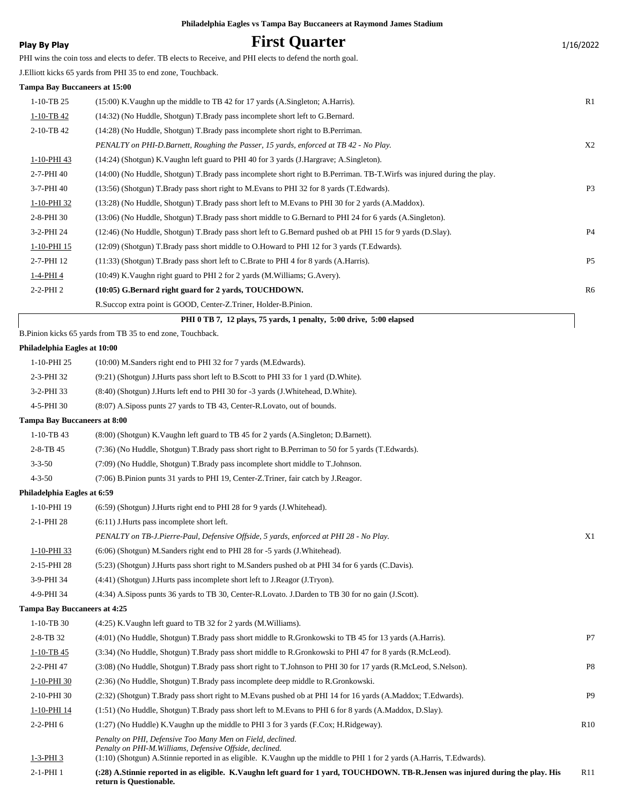|                                      | Philadelphia Eagles vs Tampa Bay Buccaneers at Raymond James Stadium                                                    |                |
|--------------------------------------|-------------------------------------------------------------------------------------------------------------------------|----------------|
| <b>Play By Play</b>                  | <b>First Quarter</b>                                                                                                    | 1/16/2022      |
|                                      | PHI wins the coin toss and elects to defer. TB elects to Receive, and PHI elects to defend the north goal.              |                |
|                                      | J.Elliott kicks 65 yards from PHI 35 to end zone, Touchback.                                                            |                |
| <b>Tampa Bay Buccaneers at 15:00</b> |                                                                                                                         |                |
| $1-10-TB$ 25                         | (15:00) K. Vaughn up the middle to TB 42 for 17 yards (A. Singleton; A. Harris).                                        | R1             |
| $1-10-TB$ 42                         | (14:32) (No Huddle, Shotgun) T.Brady pass incomplete short left to G.Bernard.                                           |                |
| 2-10-TB 42                           | (14:28) (No Huddle, Shotgun) T.Brady pass incomplete short right to B.Perriman.                                         |                |
|                                      | PENALTY on PHI-D.Barnett, Roughing the Passer, 15 yards, enforced at TB 42 - No Play.                                   | X <sub>2</sub> |
| 1-10-PHI 43                          | (14:24) (Shotgun) K.Vaughn left guard to PHI 40 for 3 yards (J.Hargrave; A.Singleton).                                  |                |
| 2-7-PHI 40                           | (14:00) (No Huddle, Shotgun) T.Brady pass incomplete short right to B.Perriman. TB-T.Wirfs was injured during the play. |                |
| 3-7-PHI 40                           | (13:56) (Shotgun) T.Brady pass short right to M.Evans to PHI 32 for 8 yards (T.Edwards).                                | P <sub>3</sub> |
| 1-10-PHI 32                          | (13:28) (No Huddle, Shotgun) T.Brady pass short left to M.Evans to PHI 30 for 2 yards (A.Maddox).                       |                |
| 2-8-PHI 30                           | (13:06) (No Huddle, Shotgun) T.Brady pass short middle to G.Bernard to PHI 24 for 6 yards (A.Singleton).                |                |
| 3-2-PHI 24                           | (12:46) (No Huddle, Shotgun) T.Brady pass short left to G.Bernard pushed ob at PHI 15 for 9 yards (D.Slay).             | P <sub>4</sub> |
| 1-10-PHI 15                          | (12:09) (Shotgun) T.Brady pass short middle to O.Howard to PHI 12 for 3 yards (T.Edwards).                              |                |
| 2-7-PHI 12                           | (11:33) (Shotgun) T.Brady pass short left to C.Brate to PHI 4 for 8 yards (A.Harris).                                   | P <sub>5</sub> |
| <u>1-4-PHI 4</u>                     | (10:49) K. Vaughn right guard to PHI 2 for 2 yards (M. Williams; G. Avery).                                             |                |
| $2-2-PHI2$                           | (10:05) G.Bernard right guard for 2 yards, TOUCHDOWN.                                                                   | R6             |
|                                      | R.Succop extra point is GOOD, Center-Z.Triner, Holder-B.Pinion.                                                         |                |
|                                      | PHI 0 TB 7, 12 plays, 75 yards, 1 penalty, 5:00 drive, 5:00 elapsed                                                     |                |
|                                      | B.Pinion kicks 65 yards from TB 35 to end zone, Touchback.                                                              |                |
| Philadelphia Eagles at 10:00         |                                                                                                                         |                |
| 1-10-PHI 25                          | (10:00) M.Sanders right end to PHI 32 for 7 yards (M.Edwards).                                                          |                |
| 2-3-PHI 32                           | (9.21) (Shotgun) J. Hurts pass short left to B. Scott to PHI 33 for 1 yard (D. White).                                  |                |
| 3-2-PHI 33                           | (8:40) (Shotgun) J.Hurts left end to PHI 30 for -3 yards (J.Whitehead, D.White).                                        |                |
| 4-5-PHI 30                           | (8:07) A.Siposs punts 27 yards to TB 43, Center-R.Lovato, out of bounds.                                                |                |
| <b>Tampa Bay Buccaneers at 8:00</b>  |                                                                                                                         |                |
| $1-10-TB$ 43                         | (8:00) (Shotgun) K. Vaughn left guard to TB 45 for 2 yards (A. Singleton; D. Barnett).                                  |                |
| 2-8-TB 45                            | (7:36) (No Huddle, Shotgun) T.Brady pass short right to B.Perriman to 50 for 5 yards (T.Edwards).                       |                |
| $3 - 3 - 50$                         | (7:09) (No Huddle, Shotgun) T.Brady pass incomplete short middle to T.Johnson.                                          |                |
| $4 - 3 - 50$                         | (7:06) B.Pinion punts 31 yards to PHI 19, Center-Z.Triner, fair catch by J.Reagor.                                      |                |
| Philadelphia Eagles at 6:59          |                                                                                                                         |                |
| 1-10-PHI 19                          | (6:59) (Shotgun) J. Hurts right end to PHI 28 for 9 yards (J. Whitehead).                                               |                |
| 2-1-PHI 28                           | $(6:11)$ J. Hurts pass incomplete short left.                                                                           |                |
|                                      | PENALTY on TB-J.Pierre-Paul, Defensive Offside, 5 yards, enforced at PHI 28 - No Play.                                  | X1             |
| 1-10-PHI 33                          | (6:06) (Shotgun) M.Sanders right end to PHI 28 for -5 yards (J.Whitehead).                                              |                |
| 2-15-PHI 28                          | (5:23) (Shotgun) J.Hurts pass short right to M.Sanders pushed ob at PHI 34 for 6 yards (C.Davis).                       |                |
| 3-9-PHI 34                           | (4:41) (Shotgun) J.Hurts pass incomplete short left to J.Reagor (J.Tryon).                                              |                |
| 4-9-PHI 34                           | (4:34) A.Siposs punts 36 yards to TB 30, Center-R.Lovato. J.Darden to TB 30 for no gain (J.Scott).                      |                |
| <b>Tampa Bay Buccaneers at 4:25</b>  |                                                                                                                         |                |
| 1-10-TB 30                           | (4:25) K. Vaughn left guard to TB 32 for 2 yards (M. Williams).                                                         |                |
| 2-8-TB 32                            | (4:01) (No Huddle, Shotgun) T.Brady pass short middle to R.Gronkowski to TB 45 for 13 yards (A.Harris).                 | P7             |
| $1-10-TB$ 45                         | (3:34) (No Huddle, Shotgun) T.Brady pass short middle to R.Gronkowski to PHI 47 for 8 yards (R.McLeod).                 |                |
| 2-2-PHI 47                           | (3:08) (No Huddle, Shotgun) T.Brady pass short right to T.Johnson to PHI 30 for 17 yards (R.McLeod, S.Nelson).          | P8             |
| 1-10-PHI 30                          | (2:36) (No Huddle, Shotgun) T.Brady pass incomplete deep middle to R.Gronkowski.                                        |                |
| 2-10-PHI 30                          | (2:32) (Shotgun) T.Brady pass short right to M.Evans pushed ob at PHI 14 for 16 yards (A.Maddox; T.Edwards).            | P <sub>9</sub> |

1-10-PHI 14 (1:51) (No Huddle, Shotgun) T.Brady pass short left to M.Evans to PHI 6 for 8 yards (A.Maddox, D.Slay).

2-2-PHI 6 (1:27) (No Huddle) K.Vaughn up the middle to PHI 3 for 3 yards (F.Cox; H.Ridgeway). R10

*Penalty on PHI, Defensive Too Many Men on Field, declined.*

*Penalty on PHI-M.Williams, Defensive Offside, declined.*

1-3-PHI 3 (1:10) (Shotgun) A.Stinnie reported in as eligible. K.Vaughn up the middle to PHI 1 for 2 yards (A.Harris, T.Edwards).

2-1-PHI 1 (:28) A.Stinnie reported in as eligible. K.Vaughn left guard for 1 yard, TOUCHDOWN. TB-R.Jensen was injured during the play. His R11 **return is Questionable.**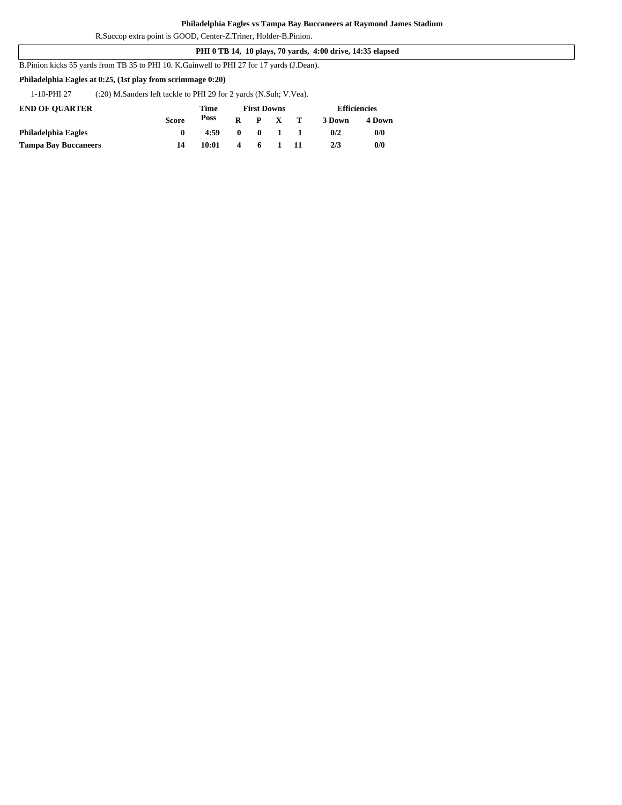R.Succop extra point is GOOD, Center-Z.Triner, Holder-B.Pinion.

### **PHI 0 TB 14, 10 plays, 70 yards, 4:00 drive, 14:35 elapsed**

B.Pinion kicks 55 yards from TB 35 to PHI 10. K.Gainwell to PHI 27 for 17 yards (J.Dean).

## **Philadelphia Eagles at 0:25, (1st play from scrimmage 0:20)**

1-10-PHI 27 (:20) M.Sanders left tackle to PHI 29 for 2 yards (N.Suh; V.Vea).

| <b>END OF OUARTER</b>       |       | <b>First Downs</b><br>Time |   |              |              |              | <b>Efficiencies</b> |        |  |
|-----------------------------|-------|----------------------------|---|--------------|--------------|--------------|---------------------|--------|--|
|                             | Score | Poss                       | R |              | P X          | $\mathbf{T}$ | 3 Down              | 4 Down |  |
| Philadelphia Eagles         |       | 4:59                       | 0 | $\mathbf{0}$ | $\mathbf{1}$ |              | 0/2                 | 0/0    |  |
| <b>Tampa Bay Buccaneers</b> | 14    | 10:01                      | 4 | 6            |              |              | 2/3                 | 0/0    |  |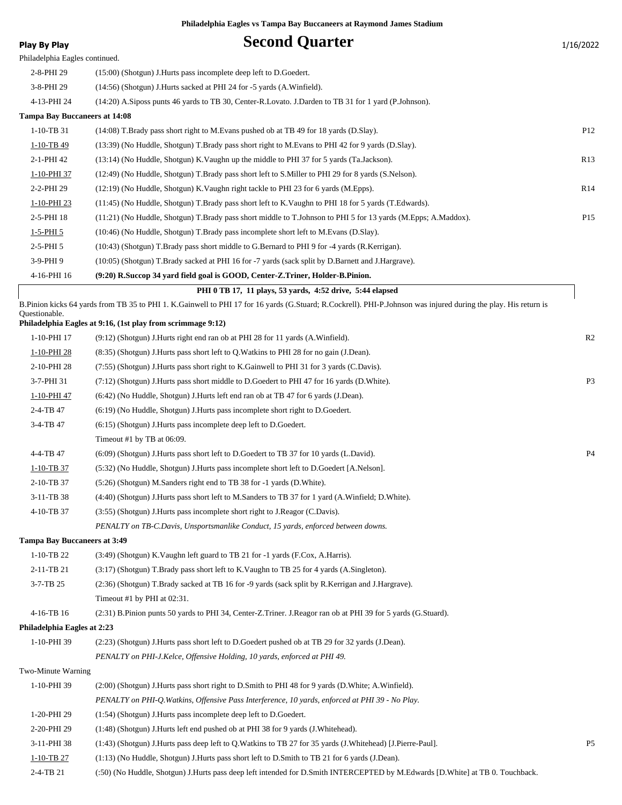| <b>Second Quarter</b><br><b>Play By Play</b>                                                                                                                                     | 1/16/2022       |
|----------------------------------------------------------------------------------------------------------------------------------------------------------------------------------|-----------------|
| Philadelphia Eagles continued.                                                                                                                                                   |                 |
| 2-8-PHI 29<br>(15:00) (Shotgun) J. Hurts pass incomplete deep left to D. Goedert.                                                                                                |                 |
| 3-8-PHI 29<br>(14:56) (Shotgun) J.Hurts sacked at PHI 24 for -5 yards (A.Winfield).                                                                                              |                 |
| 4-13-PHI 24<br>(14:20) A.Siposs punts 46 yards to TB 30, Center-R.Lovato. J.Darden to TB 31 for 1 yard (P.Johnson).                                                              |                 |
| <b>Tampa Bay Buccaneers at 14:08</b>                                                                                                                                             |                 |
| 1-10-TB 31<br>(14:08) T.Brady pass short right to M.Evans pushed ob at TB 49 for 18 yards (D.Slay).                                                                              | P <sub>12</sub> |
| 1-10-TB 49<br>(13:39) (No Huddle, Shotgun) T.Brady pass short right to M.Evans to PHI 42 for 9 yards (D.Slay).                                                                   |                 |
| 2-1-PHI 42<br>(13:14) (No Huddle, Shotgun) K. Vaughn up the middle to PHI 37 for 5 yards (Ta. Jackson).                                                                          | R13             |
| 1-10-PHI 37<br>(12:49) (No Huddle, Shotgun) T.Brady pass short left to S.Miller to PHI 29 for 8 yards (S.Nelson).                                                                |                 |
| 2-2-PHI 29<br>(12:19) (No Huddle, Shotgun) K. Vaughn right tackle to PHI 23 for 6 yards (M. Epps).                                                                               | R14             |
| 1-10-PHI 23<br>(11:45) (No Huddle, Shotgun) T.Brady pass short left to K.Vaughn to PHI 18 for 5 yards (T.Edwards).                                                               |                 |
| 2-5-PHI 18<br>(11:21) (No Huddle, Shotgun) T.Brady pass short middle to T.Johnson to PHI 5 for 13 yards (M.Epps; A.Maddox).                                                      | P <sub>15</sub> |
| $1 - 5 - PHI_5$<br>(10:46) (No Huddle, Shotgun) T.Brady pass incomplete short left to M.Evans (D.Slay).                                                                          |                 |
| $2-5-PHI5$<br>(10:43) (Shotgun) T.Brady pass short middle to G.Bernard to PHI 9 for -4 yards (R.Kerrigan).                                                                       |                 |
| 3-9-PHI9<br>(10:05) (Shotgun) T.Brady sacked at PHI 16 for -7 yards (sack split by D.Barnett and J.Hargrave).                                                                    |                 |
| 4-16-PHI 16<br>(9:20) R.Succop 34 yard field goal is GOOD, Center-Z.Triner, Holder-B.Pinion.                                                                                     |                 |
| PHI 0 TB 17, 11 plays, 53 yards, 4:52 drive, 5:44 elapsed                                                                                                                        |                 |
| B.Pinion kicks 64 yards from TB 35 to PHI 1. K.Gainwell to PHI 17 for 16 yards (G.Stuard; R.Cockrell). PHI-P.Johnson was injured during the play. His return is<br>Ouestionable. |                 |
| Philadelphia Eagles at 9:16, (1st play from scrimmage 9:12)                                                                                                                      |                 |
| 1-10-PHI 17<br>$(9.12)$ (Shotgun) J. Hurts right end ran ob at PHI 28 for 11 yards (A. Winfield).                                                                                | R <sub>2</sub>  |
| (8:35) (Shotgun) J.Hurts pass short left to Q.Watkins to PHI 28 for no gain (J.Dean).<br>1-10-PHI 28                                                                             |                 |
| 2-10-PHI 28<br>(7.55) (Shotgun) J.Hurts pass short right to K.Gainwell to PHI 31 for 3 yards (C.Davis).                                                                          |                 |
| 3-7-PHI 31<br>(7:12) (Shotgun) J.Hurts pass short middle to D.Goedert to PHI 47 for 16 yards (D.White).                                                                          | P <sub>3</sub>  |
| (6:42) (No Huddle, Shotgun) J.Hurts left end ran ob at TB 47 for 6 yards (J.Dean).<br>1-10-PHI 47                                                                                |                 |
| 2-4-TB 47<br>$(6.19)$ (No Huddle, Shotgun) J. Hurts pass incomplete short right to D. Goedert.                                                                                   |                 |
| 3-4-TB 47<br>$(6:15)$ (Shotgun) J. Hurts pass incomplete deep left to D. Goedert.                                                                                                |                 |
| Timeout #1 by TB at 06:09.                                                                                                                                                       |                 |
| 4-4-TB 47<br>(6:09) (Shotgun) J.Hurts pass short left to D.Goedert to TB 37 for 10 yards (L.David).                                                                              | P4              |
| (5:32) (No Huddle, Shotgun) J.Hurts pass incomplete short left to D.Goedert [A.Nelson].<br>$1-10-TB$ 37                                                                          |                 |
| 2-10-TB 37<br>(5:26) (Shotgun) M.Sanders right end to TB 38 for -1 yards (D.White).                                                                                              |                 |
| 3-11-TB 38<br>(4:40) (Shotgun) J.Hurts pass short left to M.Sanders to TB 37 for 1 yard (A.Winfield; D.White).                                                                   |                 |
| 4-10-TB 37<br>(3:55) (Shotgun) J.Hurts pass incomplete short right to J.Reagor (C.Davis).                                                                                        |                 |
| PENALTY on TB-C.Davis, Unsportsmanlike Conduct, 15 yards, enforced between downs.                                                                                                |                 |
| <b>Tampa Bay Buccaneers at 3:49</b>                                                                                                                                              |                 |
| $1-10-TB$ 22<br>(3:49) (Shotgun) K. Vaughn left guard to TB 21 for -1 yards (F.Cox, A. Harris).                                                                                  |                 |
| 2-11-TB 21<br>$(3.17)$ (Shotgun) T.Brady pass short left to K.Vaughn to TB 25 for 4 yards (A.Singleton).                                                                         |                 |
| 3-7-TB 25<br>(2:36) (Shotgun) T.Brady sacked at TB 16 for -9 yards (sack split by R.Kerrigan and J.Hargrave).                                                                    |                 |
| Timeout #1 by PHI at 02:31.                                                                                                                                                      |                 |
| 4-16-TB 16<br>(2:31) B.Pinion punts 50 yards to PHI 34, Center-Z.Triner. J.Reagor ran ob at PHI 39 for 5 yards (G.Stuard).                                                       |                 |
| Philadelphia Eagles at 2:23                                                                                                                                                      |                 |
| 1-10-PHI 39<br>(2:23) (Shotgun) J.Hurts pass short left to D.Goedert pushed ob at TB 29 for 32 yards (J.Dean).                                                                   |                 |
| PENALTY on PHI-J.Kelce, Offensive Holding, 10 yards, enforced at PHI 49.                                                                                                         |                 |
| Two-Minute Warning                                                                                                                                                               |                 |
| 1-10-PHI 39<br>(2:00) (Shotgun) J.Hurts pass short right to D.Smith to PHI 48 for 9 yards (D.White; A.Winfield).                                                                 |                 |
| PENALTY on PHI-Q. Watkins, Offensive Pass Interference, 10 yards, enforced at PHI 39 - No Play.                                                                                  |                 |
| 1-20-PHI 29<br>(1:54) (Shotgun) J.Hurts pass incomplete deep left to D.Goedert.                                                                                                  |                 |
| 2-20-PHI 29<br>(1:48) (Shotgun) J. Hurts left end pushed ob at PHI 38 for 9 yards (J. Whitehead).                                                                                |                 |
| 3-11-PHI 38<br>(1:43) (Shotgun) J.Hurts pass deep left to Q.Watkins to TB 27 for 35 yards (J.Whitehead) [J.Pierre-Paul].                                                         | <b>P5</b>       |
| 1-10-TB 27<br>(1:13) (No Huddle, Shotgun) J.Hurts pass short left to D.Smith to TB 21 for 6 yards (J.Dean).                                                                      |                 |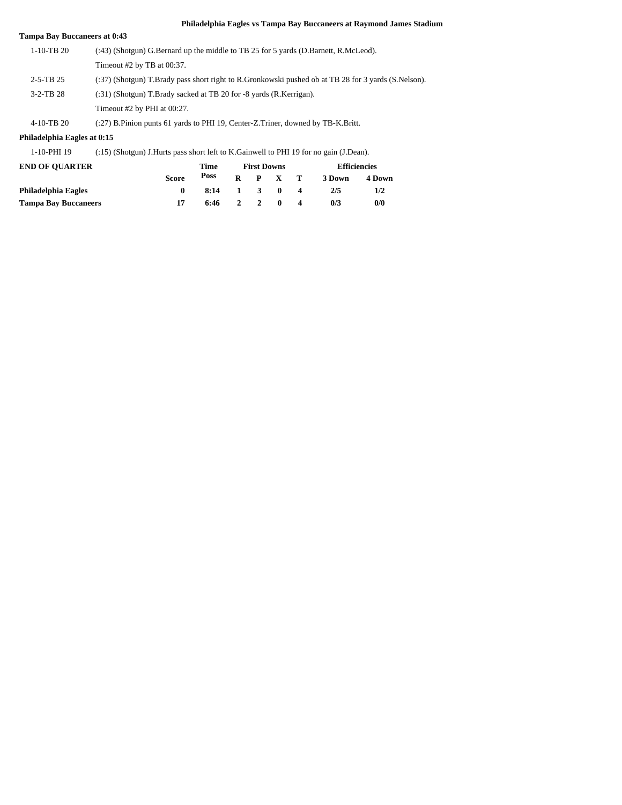| <b>Tampa Bay Buccaneers at 0:43</b> |                                                                                                     |
|-------------------------------------|-----------------------------------------------------------------------------------------------------|
| $1-10-TR$ 20                        | (:43) (Shotgun) G.Bernard up the middle to TB 25 for 5 yards (D.Barnett, R.McLeod).                 |
|                                     | Timeout $#2$ by TB at 00:37.                                                                        |
| $2-5-TB$ 25                         | (:37) (Shotgun) T.Brady pass short right to R.Gronkowski pushed ob at TB 28 for 3 yards (S.Nelson). |
| $3-2-TB$ 28                         | (:31) (Shotgun) T.Brady sacked at TB 20 for -8 yards (R.Kerrigan).                                  |
|                                     | Timeout #2 by PHI at 00:27.                                                                         |
| 4-10-TB 20                          | (:27) B.Pinion punts 61 yards to PHI 19, Center-Z.Triner, downed by TB-K.Britt.                     |

## **Philadelphia Eagles at 0:15**

1-10-PHI 19 (:15) (Shotgun) J.Hurts pass short left to K.Gainwell to PHI 19 for no gain (J.Dean).

| <b>END OF OUARTER</b>       |              | Time |              |                         | <b>First Downs</b> |                  | <b>Efficiencies</b> |        |
|-----------------------------|--------------|------|--------------|-------------------------|--------------------|------------------|---------------------|--------|
|                             | <b>Score</b> | Poss | R            |                         | P X                | $\mathbf{T}$     | 3 Down              | 4 Down |
| Philadelphia Eagles         |              | 8:14 | $\mathbf{1}$ | $\overline{\mathbf{3}}$ | $\mathbf{0}$       | $\boldsymbol{A}$ | 2/5                 | 1/2    |
| <b>Tampa Bay Buccaneers</b> | 17           | 6:46 |              | $2 \quad 2$             | $\mathbf{0}$       |                  | 0/3                 | 0/0    |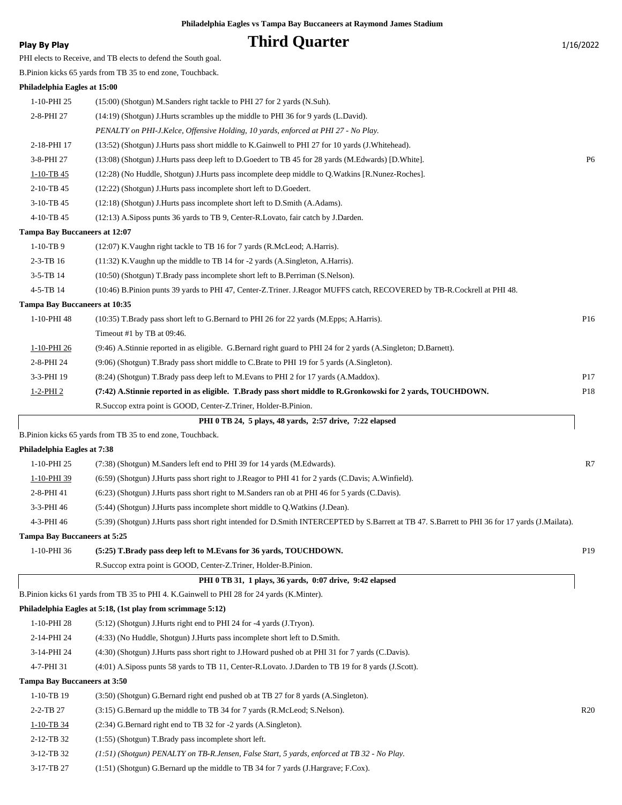## **Play By Play Play Play Play Play By Play Play By Play 1/16/2022**

PHI elects to Receive, and TB elects to defend the South goal.

B.Pinion kicks 65 yards from TB 35 to end zone, Touchback.

| Philadelphia Eagles at 15:00         |                                                                                                                                                 |                |
|--------------------------------------|-------------------------------------------------------------------------------------------------------------------------------------------------|----------------|
| 1-10-PHI 25                          | (15:00) (Shotgun) M.Sanders right tackle to PHI 27 for 2 yards (N.Suh).                                                                         |                |
| 2-8-PHI 27                           | (14:19) (Shotgun) J. Hurts scrambles up the middle to PHI 36 for 9 yards (L. David).                                                            |                |
|                                      | PENALTY on PHI-J.Kelce, Offensive Holding, 10 yards, enforced at PHI 27 - No Play.                                                              |                |
| 2-18-PHI 17                          | (13:52) (Shotgun) J.Hurts pass short middle to K.Gainwell to PHI 27 for 10 yards (J.Whitehead).                                                 |                |
| 3-8-PHI 27                           | (13:08) (Shotgun) J.Hurts pass deep left to D.Goedert to TB 45 for 28 yards (M.Edwards) [D.White].                                              | P <sub>6</sub> |
| $1-10-TB$ 45                         | (12:28) (No Huddle, Shotgun) J.Hurts pass incomplete deep middle to Q.Watkins [R.Nunez-Roches].                                                 |                |
| 2-10-TB 45                           | (12:22) (Shotgun) J. Hurts pass incomplete short left to D. Goedert.                                                                            |                |
| 3-10-TB 45                           | (12:18) (Shotgun) J.Hurts pass incomplete short left to D.Smith (A.Adams).                                                                      |                |
| 4-10-TB 45                           | (12:13) A.Siposs punts 36 yards to TB 9, Center-R.Lovato, fair catch by J.Darden.                                                               |                |
| <b>Tampa Bay Buccaneers at 12:07</b> |                                                                                                                                                 |                |
| $1-10-TB9$                           | (12:07) K. Vaughn right tackle to TB 16 for 7 yards (R. McLeod; A. Harris).                                                                     |                |
| 2-3-TB 16                            | (11:32) K. Vaughn up the middle to TB 14 for -2 yards (A. Singleton, A. Harris).                                                                |                |
| 3-5-TB 14                            | (10:50) (Shotgun) T.Brady pass incomplete short left to B.Perriman (S.Nelson).                                                                  |                |
| 4-5-TB 14                            | (10:46) B.Pinion punts 39 yards to PHI 47, Center-Z.Triner. J.Reagor MUFFS catch, RECOVERED by TB-R.Cockrell at PHI 48.                         |                |
| Tampa Bay Buccaneers at 10:35        |                                                                                                                                                 |                |
| 1-10-PHI 48                          | (10:35) T.Brady pass short left to G.Bernard to PHI 26 for 22 yards (M.Epps; A.Harris).                                                         | P16            |
|                                      | Timeout #1 by TB at 09:46.                                                                                                                      |                |
| 1-10-PHI 26                          | (9:46) A.Stinnie reported in as eligible. G.Bernard right guard to PHI 24 for 2 yards (A.Singleton; D.Barnett).                                 |                |
| 2-8-PHI 24                           | (9:06) (Shotgun) T.Brady pass short middle to C.Brate to PHI 19 for 5 yards (A.Singleton).                                                      |                |
| 3-3-PHI 19                           | (8.24) (Shotgun) T.Brady pass deep left to M.Evans to PHI 2 for 17 yards (A.Maddox).                                                            | P17            |
| $1-2$ -PHI 2                         | (7:42) A.Stinnie reported in as eligible. T.Brady pass short middle to R.Gronkowski for 2 yards, TOUCHDOWN.                                     | P18            |
|                                      | R. Succop extra point is GOOD, Center-Z. Triner, Holder-B. Pinion.                                                                              |                |
|                                      | PHI 0 TB 24, 5 plays, 48 yards, 2:57 drive, 7:22 elapsed                                                                                        |                |
|                                      | B.Pinion kicks 65 yards from TB 35 to end zone, Touchback.                                                                                      |                |
| Philadelphia Eagles at 7:38          |                                                                                                                                                 |                |
| 1-10-PHI 25                          | (7:38) (Shotgun) M.Sanders left end to PHI 39 for 14 yards (M.Edwards).                                                                         | R7             |
| 1-10-PHI 39                          | (6:59) (Shotgun) J.Hurts pass short right to J.Reagor to PHI 41 for 2 yards (C.Davis; A.Winfield).                                              |                |
| 2-8-PHI 41                           | (6.23) (Shotgun) J.Hurts pass short right to M.Sanders ran ob at PHI 46 for 5 yards (C.Davis).                                                  |                |
| 3-3-PHI 46                           | (5:44) (Shotgun) J.Hurts pass incomplete short middle to Q.Watkins (J.Dean).                                                                    |                |
| 4-3-PHI 46                           | (5:39) (Shotgun) J.Hurts pass short right intended for D.Smith INTERCEPTED by S.Barrett at TB 47. S.Barrett to PHI 36 for 17 yards (J.Mailata). |                |
| <b>Tampa Bay Buccaneers at 5:25</b>  |                                                                                                                                                 |                |
| 1-10-PHI 36                          | (5:25) T.Brady pass deep left to M.Evans for 36 yards, TOUCHDOWN.                                                                               | P19            |
|                                      | R. Succop extra point is GOOD, Center-Z. Triner, Holder-B. Pinion.                                                                              |                |
|                                      | PHI 0 TB 31, 1 plays, 36 yards, 0:07 drive, 9:42 elapsed                                                                                        |                |
|                                      | B.Pinion kicks 61 yards from TB 35 to PHI 4. K.Gainwell to PHI 28 for 24 yards (K.Minter).                                                      |                |
|                                      | Philadelphia Eagles at 5:18, (1st play from scrimmage 5:12)                                                                                     |                |
| 1-10-PHI 28                          | $(5:12)$ (Shotgun) J. Hurts right end to PHI 24 for -4 yards (J. Tryon).                                                                        |                |
| 2-14-PHI 24                          | (4:33) (No Huddle, Shotgun) J. Hurts pass incomplete short left to D. Smith.                                                                    |                |
| 3-14-PHI 24                          | (4:30) (Shotgun) J.Hurts pass short right to J.Howard pushed ob at PHI 31 for 7 yards (C.Davis).                                                |                |
| 4-7-PHI 31                           | (4:01) A.Siposs punts 58 yards to TB 11, Center-R.Lovato. J.Darden to TB 19 for 8 yards (J.Scott).                                              |                |
| <b>Tampa Bay Buccaneers at 3:50</b>  |                                                                                                                                                 |                |
| 1-10-TB 19                           | (3.50) (Shotgun) G.Bernard right end pushed ob at TB 27 for 8 yards (A.Singleton).                                                              |                |
| 2-2-TB 27                            | (3:15) G.Bernard up the middle to TB 34 for 7 yards (R.McLeod; S.Nelson).                                                                       | R20            |
| 1-10-TB 34                           | (2:34) G.Bernard right end to TB 32 for -2 yards (A.Singleton).                                                                                 |                |

- 2-12-TB 32 (1:55) (Shotgun) T.Brady pass incomplete short left.
- 3-12-TB 32 *(1:51) (Shotgun) PENALTY on TB-R.Jensen, False Start, 5 yards, enforced at TB 32 No Play.*
- 3-17-TB 27 (1:51) (Shotgun) G.Bernard up the middle to TB 34 for 7 yards (J.Hargrave; F.Cox).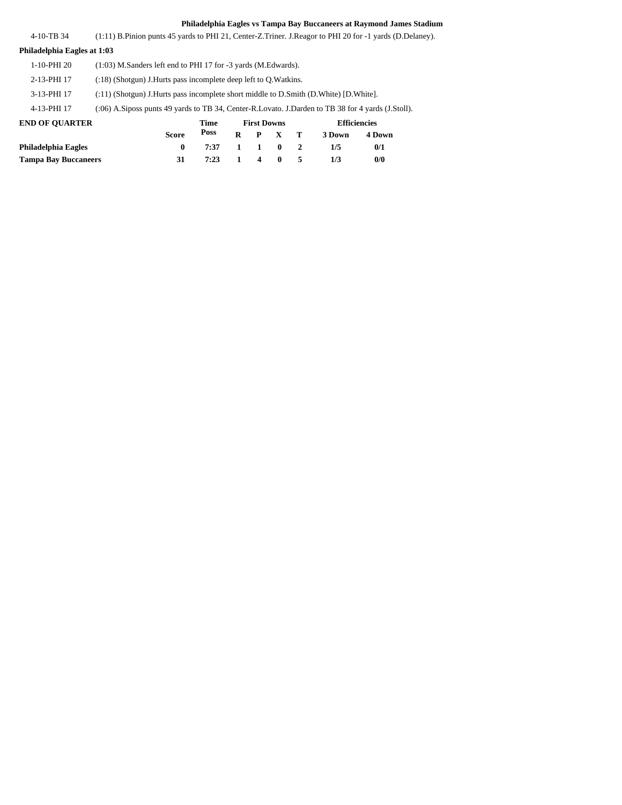| 4-10-TB 34                  | $(1:11)$ B. Pinion punts 45 yards to PHI 21, Center-Z. Triner. J. Reagor to PHI 20 for $-1$ yards (D. Delaney). |
|-----------------------------|-----------------------------------------------------------------------------------------------------------------|
| Philadelphia Eagles at 1:03 |                                                                                                                 |
| 1-10-PHI 20                 | $(1:03)$ M.Sanders left end to PHI 17 for -3 vards $(M.Edwards)$ .                                              |

2-13-PHI 17 (:18) (Shotgun) J.Hurts pass incomplete deep left to Q.Watkins.

3-13-PHI 17 (:11) (Shotgun) J.Hurts pass incomplete short middle to D.Smith (D.White) [D.White].

4-13-PHI 17 (:06) A.Siposs punts 49 yards to TB 34, Center-R.Lovato. J.Darden to TB 38 for 4 yards (J.Stoll).

| <b>END OF OUARTER</b>       |              | Time | <b>First Downs</b> |                 |  | Efficiencies |        |
|-----------------------------|--------------|------|--------------------|-----------------|--|--------------|--------|
|                             | <b>Score</b> | Poss |                    | $R$ $P$ $X$ $T$ |  | 3 Down       | 4 Down |
| Philadelphia Eagles         |              | 7:37 |                    | 1 1 0 2         |  | 1/5          | 0/1    |
| <b>Tampa Bay Buccaneers</b> |              | 7:23 |                    | 1 4 0 5         |  | 1/3          | 0/0    |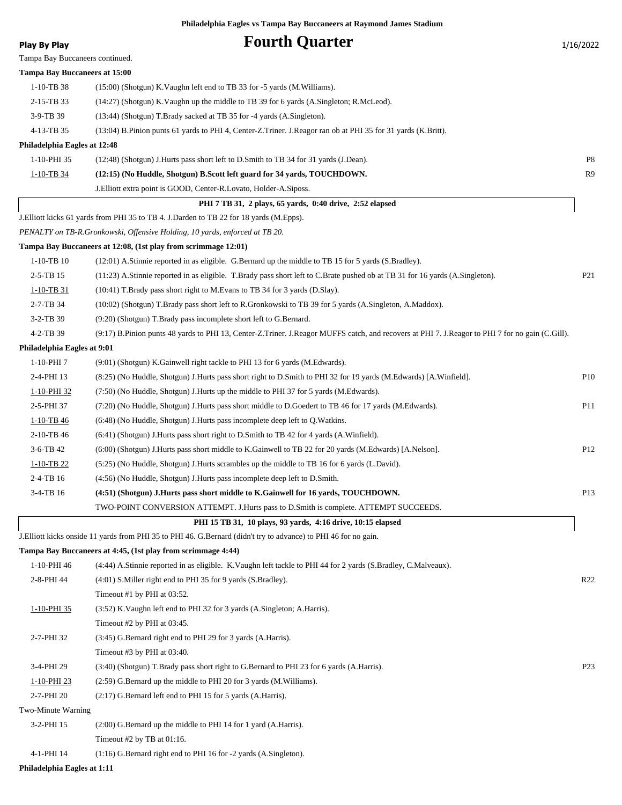Tampa Bay Buccaneers continued. **Tampa Bay Buccaneers at 15:00**

## **Play By Play Play Play Play Play By Play Fourth Quarter** 1/16/2022

| $1-10-TB38$                  | (15:00) (Shotgun) K. Vaughn left end to TB 33 for -5 yards (M. Williams).                                                                       |                 |
|------------------------------|-------------------------------------------------------------------------------------------------------------------------------------------------|-----------------|
| 2-15-TB 33                   | (14:27) (Shotgun) K. Vaughn up the middle to TB 39 for 6 yards (A. Singleton; R. McLeod).                                                       |                 |
| 3-9-TB 39                    | (13:44) (Shotgun) T.Brady sacked at TB 35 for -4 yards (A.Singleton).                                                                           |                 |
| 4-13-TB 35                   | (13:04) B.Pinion punts 61 yards to PHI 4, Center-Z.Triner. J.Reagor ran ob at PHI 35 for 31 yards (K.Britt).                                    |                 |
| Philadelphia Eagles at 12:48 |                                                                                                                                                 |                 |
| 1-10-PHI 35                  | (12:48) (Shotgun) J.Hurts pass short left to D.Smith to TB 34 for 31 yards (J.Dean).                                                            | P8              |
| 1-10-TB 34                   | (12:15) (No Huddle, Shotgun) B.Scott left guard for 34 yards, TOUCHDOWN.                                                                        | R <sub>9</sub>  |
|                              | J. Elliott extra point is GOOD, Center-R. Lovato, Holder-A. Siposs.                                                                             |                 |
|                              | PHI 7 TB 31, 2 plays, 65 yards, 0:40 drive, 2:52 elapsed                                                                                        |                 |
|                              | J. Elliott kicks 61 yards from PHI 35 to TB 4. J. Darden to TB 22 for 18 yards (M. Epps).                                                       |                 |
|                              | PENALTY on TB-R.Gronkowski, Offensive Holding, 10 yards, enforced at TB 20.                                                                     |                 |
|                              | Tampa Bay Buccaneers at 12:08, (1st play from scrimmage 12:01)                                                                                  |                 |
| $1-10-TB$ 10                 | (12:01) A Stinnie reported in as eligible. G Bernard up the middle to TB 15 for 5 yards (S Bradley).                                            |                 |
| $2 - 5 - TB$ 15              | (11:23) A.Stinnie reported in as eligible. T.Brady pass short left to C.Brate pushed ob at TB 31 for 16 yards (A.Singleton).                    | P <sub>21</sub> |
| $1 - 10 - TB 31$             | (10:41) T.Brady pass short right to M.Evans to TB 34 for 3 yards (D.Slay).                                                                      |                 |
| 2-7-TB 34                    | (10:02) (Shotgun) T.Brady pass short left to R.Gronkowski to TB 39 for 5 yards (A.Singleton, A.Maddox).                                         |                 |
| $3-2-TB$ 39                  | (9:20) (Shotgun) T.Brady pass incomplete short left to G.Bernard.                                                                               |                 |
| 4-2-TB 39                    | (9:17) B.Pinion punts 48 yards to PHI 13, Center-Z.Triner. J.Reagor MUFFS catch, and recovers at PHI 7. J.Reagor to PHI 7 for no gain (C.Gill). |                 |
| Philadelphia Eagles at 9:01  |                                                                                                                                                 |                 |
| 1-10-PHI 7                   | (9:01) (Shotgun) K.Gainwell right tackle to PHI 13 for 6 yards (M.Edwards).                                                                     |                 |
| 2-4-PHI 13                   | (8:25) (No Huddle, Shotgun) J.Hurts pass short right to D.Smith to PHI 32 for 19 yards (M.Edwards) [A.Winfield].                                | P <sub>10</sub> |
| 1-10-PHI 32                  | (7:50) (No Huddle, Shotgun) J.Hurts up the middle to PHI 37 for 5 yards (M.Edwards).                                                            |                 |
| 2-5-PHI 37                   | (7:20) (No Huddle, Shotgun) J.Hurts pass short middle to D.Goedert to TB 46 for 17 yards (M.Edwards).                                           | P11             |
| $1-10-TB$ 46                 | (6:48) (No Huddle, Shotgun) J. Hurts pass incomplete deep left to Q. Watkins.                                                                   |                 |
| 2-10-TB 46                   | (6:41) (Shotgun) J.Hurts pass short right to D.Smith to TB 42 for 4 yards (A.Winfield).                                                         |                 |
| $3-6-TB$ 42                  | (6:00) (Shotgun) J.Hurts pass short middle to K.Gainwell to TB 22 for 20 yards (M.Edwards) [A.Nelson].                                          | P <sub>12</sub> |
| $1-10-TB$ 22                 | (5:25) (No Huddle, Shotgun) J.Hurts scrambles up the middle to TB 16 for 6 yards (L.David).                                                     |                 |
| 2-4-TB 16                    | (4:56) (No Huddle, Shotgun) J. Hurts pass incomplete deep left to D. Smith.                                                                     |                 |
| 3-4-TB 16                    | (4:51) (Shotgun) J.Hurts pass short middle to K.Gainwell for 16 yards, TOUCHDOWN.                                                               | P13             |
|                              | TWO-POINT CONVERSION ATTEMPT. J.Hurts pass to D.Smith is complete. ATTEMPT SUCCEEDS.                                                            |                 |
|                              | PHI 15 TB 31, 10 plays, 93 yards, 4:16 drive, 10:15 elapsed                                                                                     |                 |
|                              | J.Elliott kicks onside 11 yards from PHI 35 to PHI 46. G.Bernard (didn't try to advance) to PHI 46 for no gain.                                 |                 |
|                              | Tampa Bay Buccaneers at 4:45, (1st play from scrimmage 4:44)                                                                                    |                 |
| 1-10-PHI 46                  | (4:44) A.Stinnie reported in as eligible. K.Vaughn left tackle to PHI 44 for 2 yards (S.Bradley, C.Malveaux).                                   |                 |
| 2-8-PHI 44                   | (4:01) S. Miller right end to PHI 35 for 9 yards (S. Bradley).                                                                                  | R <sub>22</sub> |
|                              | Timeout #1 by PHI at 03:52.                                                                                                                     |                 |
| 1-10-PHI 35                  | (3:52) K. Vaughn left end to PHI 32 for 3 yards (A. Singleton; A. Harris).                                                                      |                 |
|                              | Timeout #2 by PHI at 03:45.                                                                                                                     |                 |
| 2-7-PHI 32                   | (3:45) G.Bernard right end to PHI 29 for 3 yards (A.Harris).                                                                                    |                 |
|                              | Timeout #3 by PHI at 03:40.                                                                                                                     |                 |
| 3-4-PHI 29                   | (3:40) (Shotgun) T.Brady pass short right to G.Bernard to PHI 23 for 6 yards (A.Harris).                                                        | P <sub>23</sub> |
| 1-10-PHI 23                  | (2:59) G.Bernard up the middle to PHI 20 for 3 yards (M.Williams).                                                                              |                 |
| 2-7-PHI 20                   | (2:17) G.Bernard left end to PHI 15 for 5 yards (A.Harris).                                                                                     |                 |
| Two-Minute Warning           |                                                                                                                                                 |                 |
| 3-2-PHI 15                   | (2:00) G.Bernard up the middle to PHI 14 for 1 yard (A.Harris).                                                                                 |                 |
|                              | Timeout #2 by TB at 01:16.                                                                                                                      |                 |

4-1-PHI 14 (1:16) G.Bernard right end to PHI 16 for -2 yards (A.Singleton).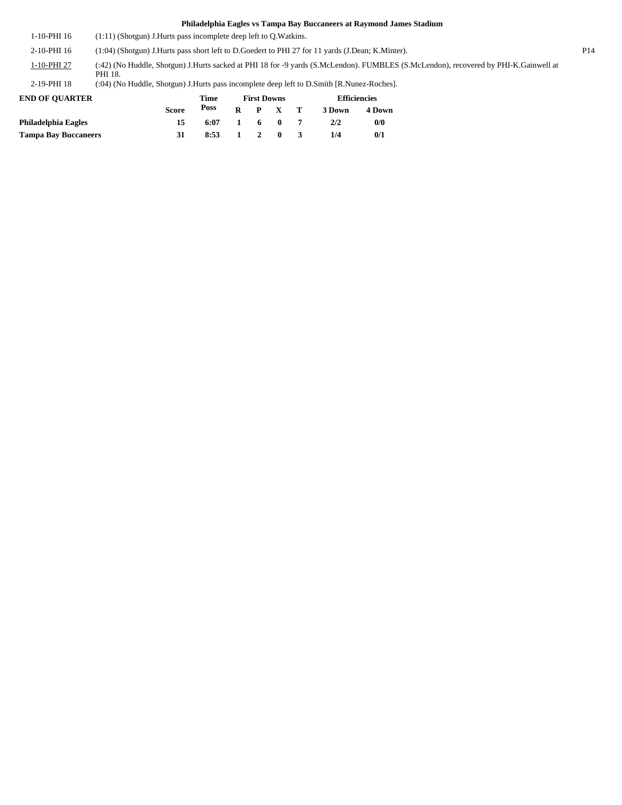1-10-PHI 16 (1:11) (Shotgun) J.Hurts pass incomplete deep left to Q.Watkins.

2-10-PHI 16 (1:04) (Shotgun) J.Hurts pass short left to D.Goedert to PHI 27 for 11 yards (J.Dean; K.Minter). P14

(:42) (No Huddle, Shotgun) J.Hurts sacked at PHI 18 for -9 yards (S.McLendon). FUMBLES (S.McLendon), recovered by PHI-K.Gainwell at PHI 18. 1-10-PHI 27

2-19-PHI 18 (:04) (No Huddle, Shotgun) J.Hurts pass incomplete deep left to D.Smith [R.Nunez-Roches].

| <b>END OF OUARTER</b>       |              | Time |              | <b>First Downs</b>  |              | <b>Efficiencies</b> |        |  |
|-----------------------------|--------------|------|--------------|---------------------|--------------|---------------------|--------|--|
|                             | <b>Score</b> | Poss | $\mathbf{R}$ |                     | $P \times T$ | 3 Down              | 4 Down |  |
| <b>Philadelphia Eagles</b>  | 15           | 6:07 | 1.           |                     | 60           | 2/2                 | 0/0    |  |
| <b>Tampa Bay Buccaneers</b> |              | 8:53 |              | $1 \quad 2 \quad 0$ |              | 1/4                 | 0/1    |  |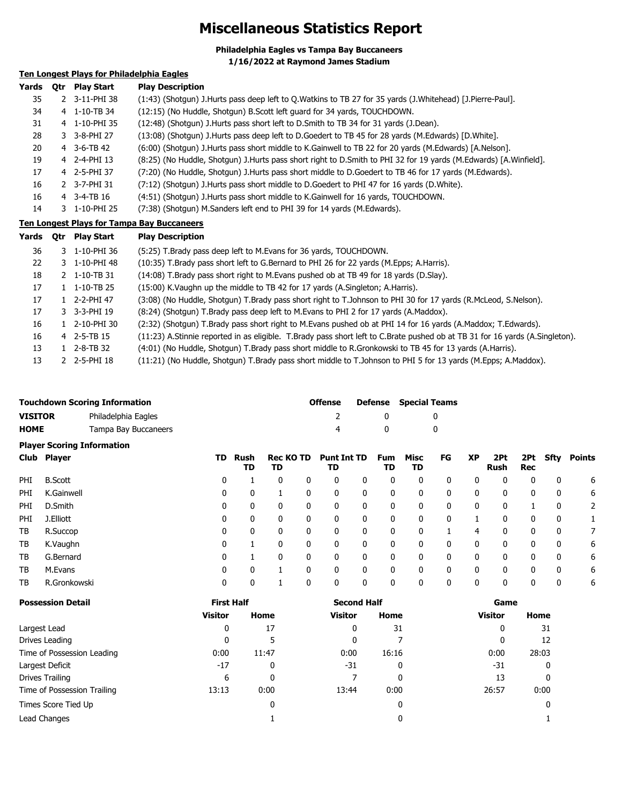# **Miscellaneous Statistics Report**

**Philadelphia Eagles vs Tampa Bay Buccaneers 1/16/2022 at Raymond James Stadium**

## **Ten Longest Plays for Philadelphia Eagles**

| Yards | 0tr | <b>Play Start</b> | <b>Play Description</b>                                                                                          |
|-------|-----|-------------------|------------------------------------------------------------------------------------------------------------------|
| 35    |     | 2 3-11-PHI 38     | (1:43) (Shotgun) J.Hurts pass deep left to Q.Watkins to TB 27 for 35 yards (J.Whitehead) [J.Pierre-Paul].        |
| 34    |     | 4 1-10-TB 34      | (12:15) (No Huddle, Shotgun) B.Scott left guard for 34 yards, TOUCHDOWN.                                         |
| 31    |     | 4 1-10-PHI 35     | (12:48) (Shotgun) J.Hurts pass short left to D.Smith to TB 34 for 31 yards (J.Dean).                             |
| 28    |     | 3 3-8-PHI 27      | (13:08) (Shotgun) J.Hurts pass deep left to D.Goedert to TB 45 for 28 yards (M.Edwards) [D.White].               |
| 20    |     | 4 3-6-TB 42       | (6:00) (Shotgun) J.Hurts pass short middle to K.Gainwell to TB 22 for 20 yards (M.Edwards) [A.Nelson].           |
| 19    |     | 4 2-4-PHI 13      | (8:25) (No Huddle, Shotgun) J.Hurts pass short right to D.Smith to PHI 32 for 19 yards (M.Edwards) [A.Winfield]. |
| 17    |     | 4 2-5-PHI 37      | (7:20) (No Huddle, Shotgun) J.Hurts pass short middle to D.Goedert to TB 46 for 17 yards (M.Edwards).            |
| 16    |     | 2 3-7-PHI 31      | (7:12) (Shotgun) J.Hurts pass short middle to D.Goedert to PHI 47 for 16 yards (D.White).                        |
| 16    |     | 4 3-4-TB 16       | (4:51) (Shotgun) J.Hurts pass short middle to K.Gainwell for 16 yards, TOUCHDOWN.                                |
| 14    |     | 3 1-10-PHI 25     | (7:38) (Shotgun) M.Sanders left end to PHI 39 for 14 yards (M.Edwards).                                          |

## **Ten Longest Plays for Tampa Bay Buccaneers**

| Yards | 0tr | <b>Play Start</b>        | <b>Play Description</b>                                                                                                      |
|-------|-----|--------------------------|------------------------------------------------------------------------------------------------------------------------------|
| 36    |     | 3 1-10-PHI 36            | (5:25) T.Brady pass deep left to M.Evans for 36 yards, TOUCHDOWN.                                                            |
| 22    |     | 3 1-10-PHI 48            | (10:35) T.Brady pass short left to G.Bernard to PHI 26 for 22 yards (M.Epps; A.Harris).                                      |
| 18    |     | 2 1-10-TB 31             | (14:08) T.Brady pass short right to M.Evans pushed ob at TB 49 for 18 yards (D.Slay).                                        |
| 17    |     | $1 \quad 1 - 10 - TB$ 25 | (15:00) K. Vaughn up the middle to TB 42 for 17 yards (A. Singleton; A. Harris).                                             |
| 17    |     | 1 2-2-PHI 47             | (3:08) (No Huddle, Shotgun) T.Brady pass short right to T.Johnson to PHI 30 for 17 yards (R.McLeod, S.Nelson).               |
| 17    |     | 3 3-3-PHI 19             | (8:24) (Shotgun) T.Brady pass deep left to M.Evans to PHI 2 for 17 yards (A.Maddox).                                         |
| 16    |     | 1 2-10-PHI 30            | (2:32) (Shotgun) T.Brady pass short right to M.Evans pushed ob at PHI 14 for 16 yards (A.Maddox; T.Edwards).                 |
| 16    |     | 4 2-5-TB 15              | (11:23) A.Stinnie reported in as eligible. T.Brady pass short left to C.Brate pushed ob at TB 31 for 16 yards (A.Singleton). |
| 13    |     | $1$ 2-8-TB 32            | (4:01) (No Huddle, Shotgun) T.Brady pass short middle to R.Gronkowski to TB 45 for 13 yards (A.Harris).                      |
| 13    |     | 2 2-5-PHI 18             | (11:21) (No Huddle, Shotgun) T.Brady pass short middle to T.Johnson to PHI 5 for 13 yards (M.Epps; A.Maddox).                |

|                | <b>Touchdown Scoring Information</b> | <b>Offense</b> |            | <b>Defense</b> Special Teams |  |  |
|----------------|--------------------------------------|----------------|------------|------------------------------|--|--|
| <b>VISITOR</b> | Philadelphia Eagles                  |                |            |                              |  |  |
| <b>HOME</b>    | Tampa Bay Buccaneers                 |                | $^{\circ}$ |                              |  |  |
|                | <b>Dlaver Scoring Information</b>    |                |            |                              |  |  |

|      | Club Player    | TD. | Rush<br>TD | <b>Rec KO TD</b><br>TD |          | <b>Punt Int TD</b><br>TD |   | Fum<br>TD | Misc<br>TD | FG | <b>XP</b> | 2Pt<br>Rush | 2Pt<br>Rec | Sfty         | Points |
|------|----------------|-----|------------|------------------------|----------|--------------------------|---|-----------|------------|----|-----------|-------------|------------|--------------|--------|
| PHI. | <b>B.Scott</b> | 0   |            |                        | 0        | 0                        | 0 | 0         | 0          | 0  | 0         | 0           | 0          | 0            | 6      |
| PHI  | K.Gainwell     | 0   | 0          |                        | 0        | 0                        | 0 | 0         | 0          | 0  | 0         | 0           | 0          | 0            | 6      |
| PHI  | D.Smith        | 0   | 0          | 0                      | $\Omega$ | 0                        | 0 | 0         | 0          | 0  | 0         | 0           |            | 0            | 2      |
| PHI  | J.Elliott      | 0   | 0          | 0                      |          | 0                        | 0 | 0         | 0          | 0  |           | 0           | 0          | 0            |        |
| ТB   | R.Succop       | 0   | 0          | 0                      | $\Omega$ | 0                        | 0 | 0         | 0          |    | 4         | 0           | 0          | $\mathbf{0}$ |        |
| ТB   | K.Vaughn       | 0   |            | 0                      |          | 0                        | 0 | 0         | 0          | 0  | 0         | 0           | 0          | 0            | 6      |
| TB   | G.Bernard      | 0   |            | 0                      | $\Omega$ | 0                        | 0 | 0         | 0          | 0  | 0         | 0           | 0          | $\mathbf{0}$ | 6      |
| ТB   | M.Evans        | 0   | 0          |                        | O        | 0                        | 0 | 0         | 0          | 0  | 0         | 0           | 0          | 0            | 6      |
| ТB   | R.Gronkowski   | 0   | 0          |                        |          | 0                        | 0 | 0         | 0          | 0  | 0         | 0           | 0          | 0            | 6      |
|      |                |     |            |                        |          |                          |   |           |            |    |           |             |            |              |        |

| <b>Possession Detail</b>    | <b>First Half</b> |       | <b>Second Half</b> |       | Game           |       |  |
|-----------------------------|-------------------|-------|--------------------|-------|----------------|-------|--|
|                             | <b>Visitor</b>    | Home  | <b>Visitor</b>     | Home  | <b>Visitor</b> | Home  |  |
| Largest Lead                | 0                 | 17    | 0                  | 31    | 0              | 31    |  |
| Drives Leading              | 0                 | 5     | 0                  |       | C              | 12    |  |
| Time of Possession Leading  | 0:00              | 11:47 | 0:00               | 16:16 | 0:00           | 28:03 |  |
| Largest Deficit             | $-17$             | 0     | $-31$              | 0     | -31            | 0     |  |
| Drives Trailing             | 6                 | 0     |                    | 0     | 13             |       |  |
| Time of Possession Trailing | 13:13             | 0:00  | 13:44              | 0:00  | 26:57          | 0:00  |  |
| Times Score Tied Up         |                   | 0     |                    | 0     |                |       |  |
| Lead Changes                |                   |       |                    | 0     |                |       |  |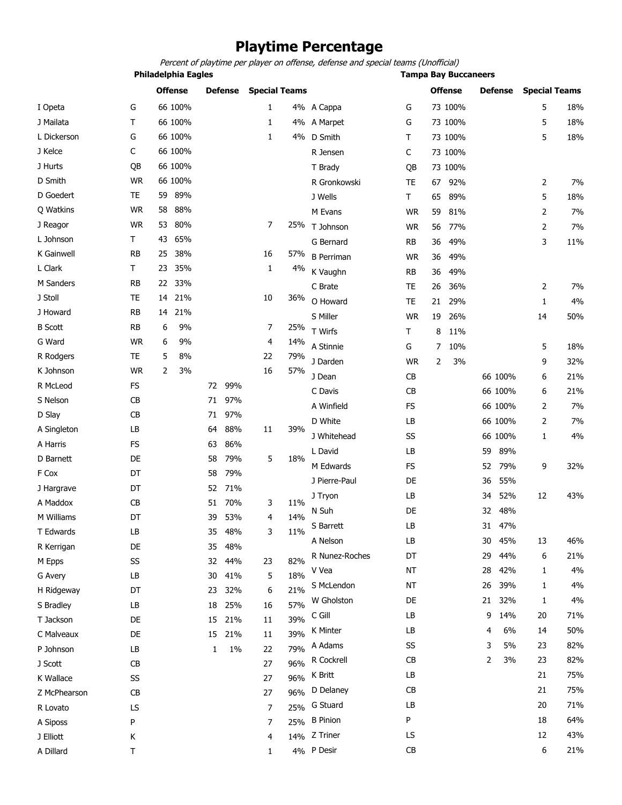# **Playtime Percentage**

Percent of playtime per player on offense, defense and special teams (Unofficial)

**Philadelphia Eagles Tampa Bay Buccaneers**

|                |           |    | <b>Offense</b> |    | <b>Defense</b> | <b>Special Teams</b> |     |                   |           |                | <b>Offense</b> |    | <b>Defense</b> | <b>Special Teams</b> |     |
|----------------|-----------|----|----------------|----|----------------|----------------------|-----|-------------------|-----------|----------------|----------------|----|----------------|----------------------|-----|
| I Opeta        | G         |    | 66 100%        |    |                | 1                    |     | 4% A Cappa        | G         |                | 73 100%        |    |                | 5                    | 18% |
| J Mailata      | T         |    | 66 100%        |    |                | 1                    |     | 4% A Marpet       | G         |                | 73 100%        |    |                | 5                    | 18% |
| L Dickerson    | G         |    | 66 100%        |    |                | 1                    |     | 4% D Smith        | T         |                | 73 100%        |    |                | 5                    | 18% |
| J Kelce        | С         |    | 66 100%        |    |                |                      |     | R Jensen          | C         |                | 73 100%        |    |                |                      |     |
| J Hurts        | QB        |    | 66 100%        |    |                |                      |     | T Brady           | QB        |                | 73 100%        |    |                |                      |     |
| D Smith        | <b>WR</b> |    | 66 100%        |    |                |                      |     | R Gronkowski      | TE        | 67             | 92%            |    |                | $\overline{2}$       | 7%  |
| D Goedert      | <b>TE</b> | 59 | 89%            |    |                |                      |     | J Wells           | T         | 65             | 89%            |    |                | 5                    | 18% |
| Q Watkins      | <b>WR</b> | 58 | 88%            |    |                |                      |     | M Evans           | <b>WR</b> | 59             | 81%            |    |                | 2                    | 7%  |
| J Reagor       | <b>WR</b> | 53 | 80%            |    |                | 7                    | 25% | T Johnson         | <b>WR</b> | 56             | 77%            |    |                | $\overline{2}$       | 7%  |
| L Johnson      | Τ         | 43 | 65%            |    |                |                      |     | G Bernard         | <b>RB</b> | 36             | 49%            |    |                | 3                    | 11% |
| K Gainwell     | <b>RB</b> | 25 | 38%            |    |                | 16                   | 57% | <b>B</b> Perriman | <b>WR</b> | 36             | 49%            |    |                |                      |     |
| L Clark        | T         | 23 | 35%            |    |                | 1                    | 4%  | K Vaughn          | <b>RB</b> | 36             | 49%            |    |                |                      |     |
| M Sanders      | <b>RB</b> | 22 | 33%            |    |                |                      |     | C Brate           | <b>TE</b> | 26             | 36%            |    |                | 2                    | 7%  |
| J Stoll        | TE        | 14 | 21%            |    |                | 10                   | 36% | O Howard          | TE        | 21             | 29%            |    |                | $\mathbf{1}$         | 4%  |
| J Howard       | <b>RB</b> | 14 | 21%            |    |                |                      |     | S Miller          | <b>WR</b> | 19             | 26%            |    |                | 14                   | 50% |
| <b>B</b> Scott | <b>RB</b> | 6  | 9%             |    |                | 7                    | 25% | T Wirfs           | T         | 8              | 11%            |    |                |                      |     |
| G Ward         | <b>WR</b> | 6  | 9%             |    |                | 4                    | 14% | A Stinnie         | G         | $\overline{7}$ | 10%            |    |                | 5                    | 18% |
| R Rodgers      | <b>TE</b> | 5  | 8%             |    |                | 22                   | 79% | J Darden          | <b>WR</b> | 2              | 3%             |    |                | 9                    | 32% |
| K Johnson      | <b>WR</b> | 2  | 3%             |    |                | 16                   | 57% | J Dean            | CB        |                |                |    | 66 100%        | 6                    | 21% |
| R McLeod       | <b>FS</b> |    |                | 72 | 99%            |                      |     | C Davis           | CB        |                |                |    | 66 100%        | 6                    | 21% |
| S Nelson       | CB        |    |                | 71 | 97%            |                      |     | A Winfield        | <b>FS</b> |                |                |    | 66 100%        | 2                    | 7%  |
| D Slay         | CB        |    |                | 71 | 97%            |                      |     | D White           | LB        |                |                |    | 66 100%        | $\overline{2}$       |     |
| A Singleton    | LB        |    |                | 64 | 88%            | 11                   | 39% |                   |           |                |                |    |                |                      | 7%  |
| A Harris       | <b>FS</b> |    |                | 63 | 86%            |                      |     | J Whitehead       | SS        |                |                |    | 66 100%        | 1                    | 4%  |
| D Barnett      | DE        |    |                | 58 | 79%            | 5                    | 18% | L David           | LB        |                |                | 59 | 89%            |                      |     |
| F Cox          | DT        |    |                | 58 | 79%            |                      |     | M Edwards         | <b>FS</b> |                |                | 52 | 79%            | 9                    | 32% |
| J Hargrave     | DT        |    |                | 52 | 71%            |                      |     | J Pierre-Paul     | DE        |                |                | 36 | 55%            |                      |     |
| A Maddox       | <b>CB</b> |    |                | 51 | 70%            | 3                    | 11% | J Tryon           | LB        |                |                | 34 | 52%            | 12                   | 43% |
| M Williams     | DT        |    |                | 39 | 53%            | 4                    | 14% | N Suh             | DE        |                |                | 32 | 48%            |                      |     |
| T Edwards      | LB        |    |                | 35 | 48%            | 3                    | 11% | S Barrett         | LB        |                |                | 31 | 47%            |                      |     |
| R Kerrigan     | DE        |    |                | 35 | 48%            |                      |     | A Nelson          | LB        |                |                | 30 | 45%            | 13                   | 46% |
| M Epps         | SS        |    |                | 32 | 44%            | 23                   | 82% | R Nunez-Roches    | DT        |                |                | 29 | 44%            | 6                    | 21% |
| G Avery        | LB        |    |                | 30 | 41%            | 5                    | 18% | V Vea             | NT        |                |                | 28 | 42%            | 1                    | 4%  |
| H Ridgeway     | DT        |    |                | 23 | 32%            | 6                    | 21% | S McLendon        | <b>NT</b> |                |                | 26 | 39%            | 1                    | 4%  |
| S Bradley      | LB        |    |                | 18 | 25%            | 16                   | 57% | W Gholston        | DE        |                |                | 21 | 32%            | 1                    | 4%  |
| T Jackson      | DE        |    |                | 15 | 21%            | 11                   | 39% | $C$ Gill          | LB        |                |                | 9  | 14%            | 20                   | 71% |
| C Malveaux     | DE        |    |                | 15 | 21%            | 11                   | 39% | K Minter          | LB        |                |                | 4  | 6%             | 14                   | 50% |
| P Johnson      | LB        |    |                | 1  | $1\%$          | 22                   | 79% | A Adams           | SS        |                |                | 3  | 5%             | 23                   | 82% |
| J Scott        | CB        |    |                |    |                | 27                   | 96% | R Cockrell        | CB        |                |                | 2  | 3%             | 23                   | 82% |
| K Wallace      | SS        |    |                |    |                | 27                   | 96% | K Britt           | LB        |                |                |    |                | 21                   | 75% |
| Z McPhearson   | CB        |    |                |    |                | 27                   | 96% | D Delaney         | CB        |                |                |    |                | 21                   | 75% |
| R Lovato       | LS        |    |                |    |                | 7                    | 25% | G Stuard          | LB        |                |                |    |                | 20                   | 71% |
| A Siposs       | P         |    |                |    |                | 7                    | 25% | <b>B</b> Pinion   | P         |                |                |    |                | 18                   | 64% |
| J Elliott      | Κ         |    |                |    |                | 4                    | 14% | Z Triner          | LS        |                |                |    |                | 12                   | 43% |
| A Dillard      | Τ         |    |                |    |                | 1                    |     | 4% P Desir        | CB        |                |                |    |                | 6                    | 21% |